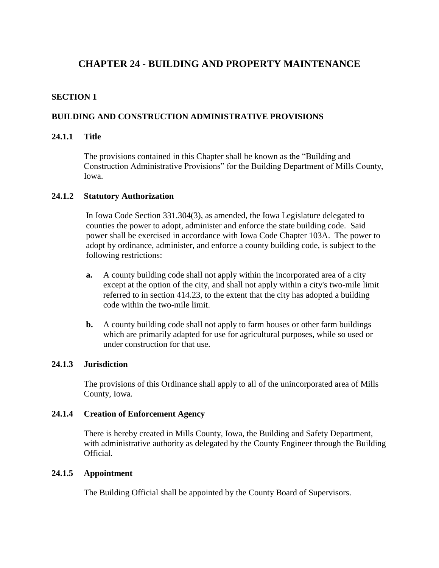# <span id="page-0-0"></span>**CHAPTER 24 - BUILDING AND PROPERTY MAINTENANCE**

# **SECTION 1**

# **BUILDING AND CONSTRUCTION ADMINISTRATIVE PROVISIONS**

### **24.1.1 Title**

The provisions contained in this Chapter shall be known as the "Building and Construction Administrative Provisions" for the Building Department of Mills County, Iowa.

### **24.1.2 Statutory Authorization**

In Iowa Code Section 331.304(3), as amended, the Iowa Legislature delegated to counties the power to adopt, administer and enforce the state building code. Said power shall be exercised in accordance with Iowa Code Chapter 103A. The power to adopt by ordinance, administer, and enforce a county building code, is subject to the following restrictions:

- **a.** A county building code shall not apply within the incorporated area of a city except at the option of the city, and shall not apply within a city's two-mile limit referred to in section 414.23, to the extent that the city has adopted a building code within the two-mile limit.
- **b.** A county building code shall not apply to farm houses or other farm buildings which are primarily adapted for use for agricultural purposes, while so used or under construction for that use.

### **24.1.3 Jurisdiction**

The provisions of this Ordinance shall apply to all of the unincorporated area of Mills County, Iowa.

#### **24.1.4 Creation of Enforcement Agency**

There is hereby created in Mills County, Iowa, the Building and Safety Department, with administrative authority as delegated by the County Engineer through the Building Official.

### **24.1.5 Appointment**

The Building Official shall be appointed by the County Board of Supervisors.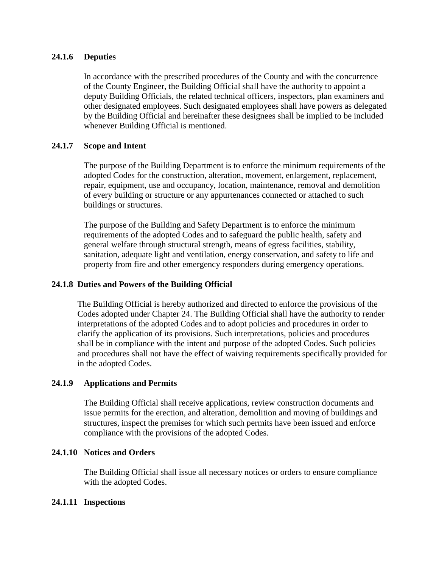## **24.1.6 Deputies**

In accordance with the prescribed procedures of the County and with the concurrence of the County Engineer, the Building Official shall have the authority to appoint a deputy Building Officials, the related technical officers, inspectors, plan examiners and other designated employees. Such designated employees shall have powers as delegated by the Building Official and hereinafter these designees shall be implied to be included whenever Building Official is mentioned.

## **24.1.7 Scope and Intent**

The purpose of the Building Department is to enforce the minimum requirements of the adopted Codes for the construction, alteration, movement, enlargement, replacement, repair, equipment, use and occupancy, location, maintenance, removal and demolition of every building or structure or any appurtenances connected or attached to such buildings or structures.

The purpose of the Building and Safety Department is to enforce the minimum requirements of the adopted Codes and to safeguard the public health, safety and general welfare through structural strength, means of egress facilities, stability, sanitation, adequate light and ventilation, energy conservation, and safety to life and property from fire and other emergency responders during emergency operations.

## **24.1.8 Duties and Powers of the Building Official**

The Building Official is hereby authorized and directed to enforce the provisions of the Codes adopted under Chapter 24. The Building Official shall have the authority to render interpretations of the adopted Codes and to adopt policies and procedures in order to clarify the application of its provisions. Such interpretations, policies and procedures shall be in compliance with the intent and purpose of the adopted Codes. Such policies and procedures shall not have the effect of waiving requirements specifically provided for in the adopted Codes.

### **24.1.9 Applications and Permits**

The Building Official shall receive applications, review construction documents and issue permits for the erection, and alteration, demolition and moving of buildings and structures, inspect the premises for which such permits have been issued and enforce compliance with the provisions of the adopted Codes.

### **24.1.10 Notices and Orders**

The Building Official shall issue all necessary notices or orders to ensure compliance with the adopted Codes.

### **24.1.11 Inspections**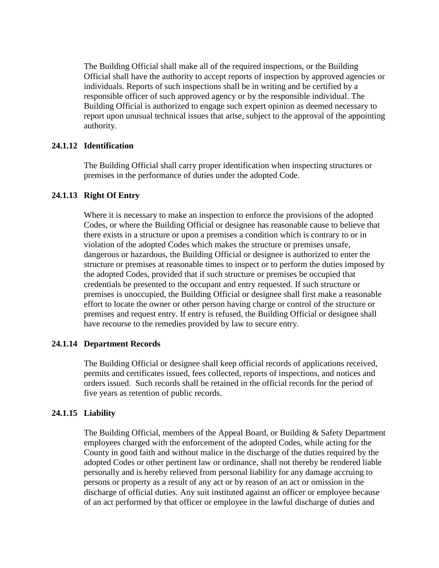The Building Official shall make all of the required inspections, or the Building Official shall have the authority to accept reports of inspection by approved agencies or individuals. Reports of such inspections shall be in writing and be certified by a responsible officer of such approved agency or by the responsible individual. The Building Official is authorized to engage such expert opinion as deemed necessary to report upon unusual technical issues that arise, subject to the approval of the appointing authority.

### **24.1.12 Identification**

The Building Official shall carry proper identification when inspecting structures or premises in the performance of duties under the adopted Code.

### **24.1.13 Right Of Entry**

Where it is necessary to make an inspection to enforce the provisions of the adopted Codes, or where the Building Official or designee has reasonable cause to believe that there exists in a structure or upon a premises a condition which is contrary to or in violation of the adopted Codes which makes the structure or premises unsafe, dangerous or hazardous, the Building Official or designee is authorized to enter the structure or premises at reasonable times to inspect or to perform the duties imposed by the adopted Codes, provided that if such structure or premises be occupied that credentials be presented to the occupant and entry requested. If such structure or premises is unoccupied, the Building Official or designee shall first make a reasonable effort to locate the owner or other person having charge or control of the structure or premises and request entry. If entry is refused, the Building Official or designee shall have recourse to the remedies provided by law to secure entry.

#### **24.1.14 Department Records**

The Building Official or designee shall keep official records of applications received, permits and certificates issued, fees collected, reports of inspections, and notices and orders issued. Such records shall be retained in the official records for the period of five years as retention of public records.

### **24.1.15 Liability**

The Building Official, members of the Appeal Board, or Building & Safety Department employees charged with the enforcement of the adopted Codes, while acting for the County in good faith and without malice in the discharge of the duties required by the adopted Codes or other pertinent law or ordinance, shall not thereby be rendered liable personally and is hereby relieved from personal liability for any damage accruing to persons or property as a result of any act or by reason of an act or omission in the discharge of official duties. Any suit instituted against an officer or employee because of an act performed by that officer or employee in the lawful discharge of duties and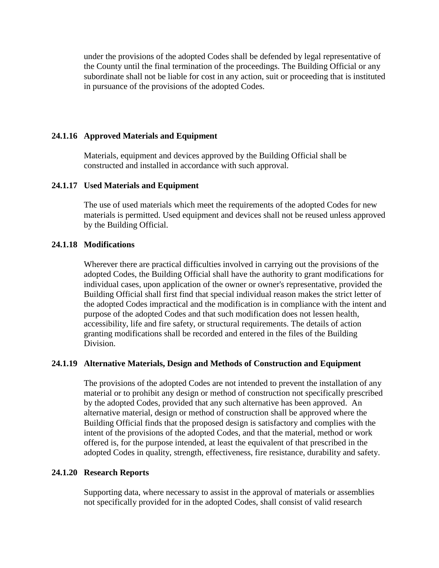under the provisions of the adopted Codes shall be defended by legal representative of the County until the final termination of the proceedings. The Building Official or any subordinate shall not be liable for cost in any action, suit or proceeding that is instituted in pursuance of the provisions of the adopted Codes.

### **24.1.16 Approved Materials and Equipment**

Materials, equipment and devices approved by the Building Official shall be constructed and installed in accordance with such approval.

#### **24.1.17 Used Materials and Equipment**

The use of used materials which meet the requirements of the adopted Codes for new materials is permitted. Used equipment and devices shall not be reused unless approved by the Building Official.

### **24.1.18 Modifications**

Wherever there are practical difficulties involved in carrying out the provisions of the adopted Codes, the Building Official shall have the authority to grant modifications for individual cases, upon application of the owner or owner's representative, provided the Building Official shall first find that special individual reason makes the strict letter of the adopted Codes impractical and the modification is in compliance with the intent and purpose of the adopted Codes and that such modification does not lessen health, accessibility, life and fire safety, or structural requirements. The details of action granting modifications shall be recorded and entered in the files of the Building Division.

#### **24.1.19 Alternative Materials, Design and Methods of Construction and Equipment**

The provisions of the adopted Codes are not intended to prevent the installation of any material or to prohibit any design or method of construction not specifically prescribed by the adopted Codes, provided that any such alternative has been approved. An alternative material, design or method of construction shall be approved where the Building Official finds that the proposed design is satisfactory and complies with the intent of the provisions of the adopted Codes, and that the material, method or work offered is, for the purpose intended, at least the equivalent of that prescribed in the adopted Codes in quality, strength, effectiveness, fire resistance, durability and safety.

### **24.1.20 Research Reports**

Supporting data, where necessary to assist in the approval of materials or assemblies not specifically provided for in the adopted Codes, shall consist of valid research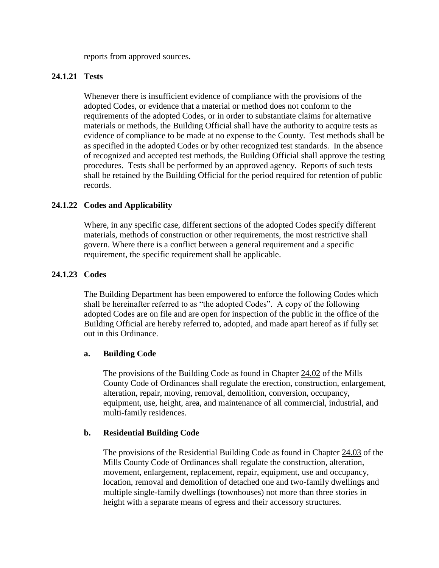reports from approved sources.

## **24.1.21 Tests**

Whenever there is insufficient evidence of compliance with the provisions of the adopted Codes, or evidence that a material or method does not conform to the requirements of the adopted Codes, or in order to substantiate claims for alternative materials or methods, the Building Official shall have the authority to acquire tests as evidence of compliance to be made at no expense to the County. Test methods shall be as specified in the adopted Codes or by other recognized test standards. In the absence of recognized and accepted test methods, the Building Official shall approve the testing procedures. Tests shall be performed by an approved agency. Reports of such tests shall be retained by the Building Official for the period required for retention of public records.

# **24.1.22 Codes and Applicability**

Where, in any specific case, different sections of the adopted Codes specify different materials, methods of construction or other requirements, the most restrictive shall govern. Where there is a conflict between a general requirement and a specific requirement, the specific requirement shall be applicable.

### **24.1.23 Codes**

The Building Department has been empowered to enforce the following Codes which shall be hereinafter referred to as "the adopted Codes". A copy of the following adopted Codes are on file and are open for inspection of the public in the office of the Building Official are hereby referred to, adopted, and made apart hereof as if fully set out in this Ordinance.

### **a. Building Code**

The provisions of the Building Code as found in Chapter [24.02](#page-37-0) of the Mills County Code of Ordinances shall regulate the erection, construction, enlargement, alteration, repair, moving, removal, demolition, conversion, occupancy, equipment, use, height, area, and maintenance of all commercial, industrial, and multi-family residences.

### **b. Residential Building Code**

The provisions of the Residential Building Code as found in Chapter [24.03](#page-38-0) of the Mills County Code of Ordinances shall regulate the construction, alteration, movement, enlargement, replacement, repair, equipment, use and occupancy, location, removal and demolition of detached one and two-family dwellings and multiple single-family dwellings (townhouses) not more than three stories in height with a separate means of egress and their accessory structures.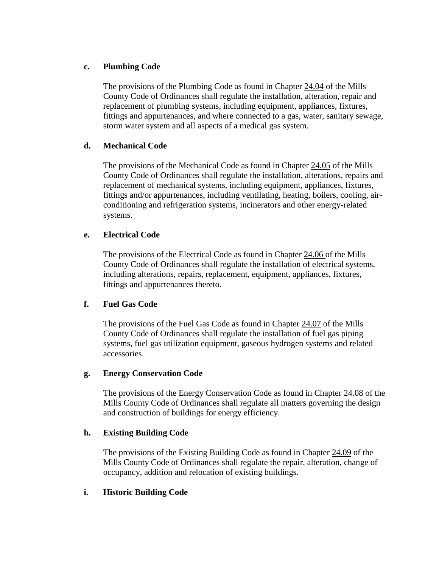# **c. Plumbing Code**

The provisions of the Plumbing Code as found in Chapter [24.04](#page-39-0) of the Mills County Code of Ordinances shall regulate the installation, alteration, repair and replacement of plumbing systems, including equipment, appliances, fixtures, fittings and appurtenances, and where connected to a gas, water, sanitary sewage, storm water system and all aspects of a medical gas system.

# **d. Mechanical Code**

The provisions of the Mechanical Code as found in Chapter [24.05](#page-39-1) of the Mills County Code of Ordinances shall regulate the installation, alterations, repairs and replacement of mechanical systems, including equipment, appliances, fixtures, fittings and/or appurtenances, including ventilating, heating, boilers, cooling, airconditioning and refrigeration systems, incinerators and other energy-related systems.

## **e. Electrical Code**

The provisions of the Electrical Code as found in Chapter [24.06 o](#page-40-0)f the Mills County Code of Ordinances shall regulate the installation of electrical systems, including alterations, repairs, replacement, equipment, appliances, fixtures, fittings and appurtenances thereto.

# **f. Fuel Gas Code**

The provisions of the Fuel Gas Code as found in Chapter [24.07](#page-41-0) of the Mills County Code of Ordinances shall regulate the installation of fuel gas piping systems, fuel gas utilization equipment, gaseous hydrogen systems and related accessories.

### **g. Energy Conservation Code**

The provisions of the Energy Conservation Code as found in Chapter [24.08](#page-42-0) of the Mills County Code of Ordinances shall regulate all matters governing the design and construction of buildings for energy efficiency.

### **h. Existing Building Code**

The provisions of the Existing Building Code as found in Chapter [24.09](#page-43-0) of the Mills County Code of Ordinances shall regulate the repair, alteration, change of occupancy, addition and relocation of existing buildings.

# **i. Historic Building Code**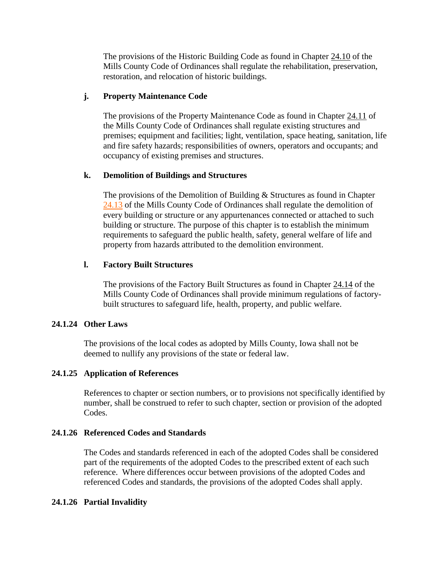The provisions of the Historic Building Code as found in Chapter [24.10](#page-44-0) of the Mills County Code of Ordinances shall regulate the rehabilitation, preservation, restoration, and relocation of historic buildings.

# **j. Property Maintenance Code**

The provisions of the Property Maintenance Code as found in Chapter [24.11](#page-45-0) of the Mills County Code of Ordinances shall regulate existing structures and premises; equipment and facilities; light, ventilation, space heating, sanitation, life and fire safety hazards; responsibilities of owners, operators and occupants; and occupancy of existing premises and structures.

# **k. Demolition of Buildings and Structures**

The provisions of the Demolition of Building & Structures as found in Chapter [24.13](#page-48-0) of the Mills County Code of Ordinances shall regulate the demolition of every building or structure or any appurtenances connected or attached to such building or structure. The purpose of this chapter is to establish the minimum requirements to safeguard the public health, safety, general welfare of life and property from hazards attributed to the demolition environment.

## **l. Factory Built Structures**

The provisions of the Factory Built Structures as found in Chapter [24.14](#page-49-0) of the Mills County Code of Ordinances shall provide minimum regulations of factorybuilt structures to safeguard life, health, property, and public welfare.

### **24.1.24 Other Laws**

The provisions of the local codes as adopted by Mills County, Iowa shall not be deemed to nullify any provisions of the state or federal law.

# **24.1.25 Application of References**

References to chapter or section numbers, or to provisions not specifically identified by number, shall be construed to refer to such chapter, section or provision of the adopted Codes.

### **24.1.26 Referenced Codes and Standards**

The Codes and standards referenced in each of the adopted Codes shall be considered part of the requirements of the adopted Codes to the prescribed extent of each such reference. Where differences occur between provisions of the adopted Codes and referenced Codes and standards, the provisions of the adopted Codes shall apply.

### **24.1.26 Partial Invalidity**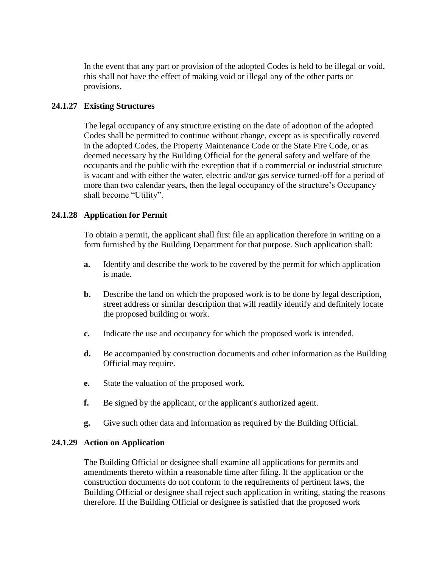In the event that any part or provision of the adopted Codes is held to be illegal or void, this shall not have the effect of making void or illegal any of the other parts or provisions.

## **24.1.27 Existing Structures**

The legal occupancy of any structure existing on the date of adoption of the adopted Codes shall be permitted to continue without change, except as is specifically covered in the adopted Codes, the Property Maintenance Code or the State Fire Code, or as deemed necessary by the Building Official for the general safety and welfare of the occupants and the public with the exception that if a commercial or industrial structure is vacant and with either the water, electric and/or gas service turned-off for a period of more than two calendar years, then the legal occupancy of the structure's Occupancy shall become "Utility".

## **24.1.28 Application for Permit**

To obtain a permit, the applicant shall first file an application therefore in writing on a form furnished by the Building Department for that purpose. Such application shall:

- **a.** Identify and describe the work to be covered by the permit for which application is made.
- **b.** Describe the land on which the proposed work is to be done by legal description, street address or similar description that will readily identify and definitely locate the proposed building or work.
- **c.** Indicate the use and occupancy for which the proposed work is intended.
- **d.** Be accompanied by construction documents and other information as the Building Official may require.
- **e.** State the valuation of the proposed work.
- **f.** Be signed by the applicant, or the applicant's authorized agent.
- **g.** Give such other data and information as required by the Building Official.

### **24.1.29 Action on Application**

The Building Official or designee shall examine all applications for permits and amendments thereto within a reasonable time after filing. If the application or the construction documents do not conform to the requirements of pertinent laws, the Building Official or designee shall reject such application in writing, stating the reasons therefore. If the Building Official or designee is satisfied that the proposed work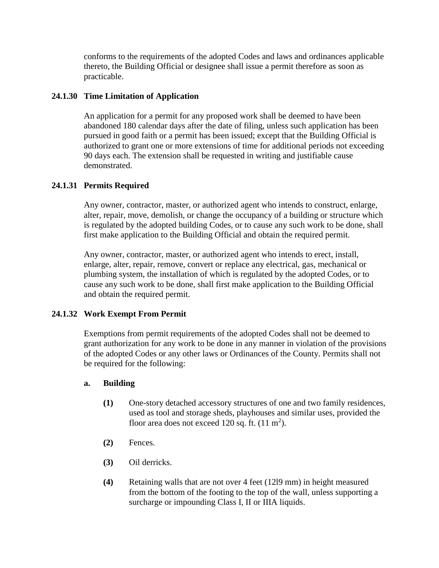conforms to the requirements of the adopted Codes and laws and ordinances applicable thereto, the Building Official or designee shall issue a permit therefore as soon as practicable.

# **24.1.30 Time Limitation of Application**

An application for a permit for any proposed work shall be deemed to have been abandoned 180 calendar days after the date of filing, unless such application has been pursued in good faith or a permit has been issued; except that the Building Official is authorized to grant one or more extensions of time for additional periods not exceeding 90 days each. The extension shall be requested in writing and justifiable cause demonstrated.

## **24.1.31 Permits Required**

Any owner, contractor, master, or authorized agent who intends to construct, enlarge, alter, repair, move, demolish, or change the occupancy of a building or structure which is regulated by the adopted building Codes, or to cause any such work to be done, shall first make application to the Building Official and obtain the required permit.

Any owner, contractor, master, or authorized agent who intends to erect, install, enlarge, alter, repair, remove, convert or replace any electrical, gas, mechanical or plumbing system, the installation of which is regulated by the adopted Codes, or to cause any such work to be done, shall first make application to the Building Official and obtain the required permit.

### **24.1.32 Work Exempt From Permit**

Exemptions from permit requirements of the adopted Codes shall not be deemed to grant authorization for any work to be done in any manner in violation of the provisions of the adopted Codes or any other laws or Ordinances of the County. Permits shall not be required for the following:

### **a. Building**

- **(1)** One-story detached accessory structures of one and two family residences, used as tool and storage sheds, playhouses and similar uses, provided the floor area does not exceed 120 sq. ft.  $(11 \text{ m}^2)$ .
- **(2)** Fences.
- **(3)** Oil derricks.
- **(4)** Retaining walls that are not over 4 feet (12l9 mm) in height measured from the bottom of the footing to the top of the wall, unless supporting a surcharge or impounding Class I, II or IIIA liquids.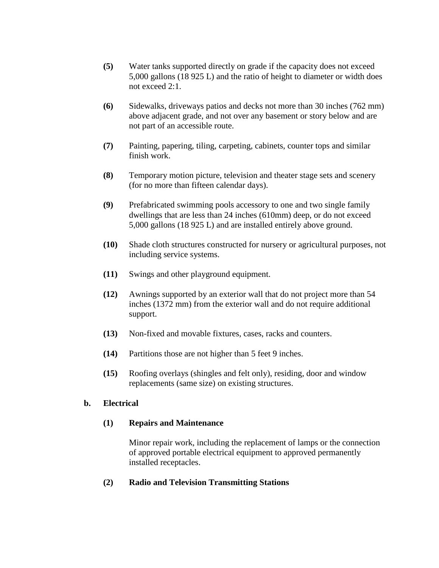- **(5)** Water tanks supported directly on grade if the capacity does not exceed 5,000 gallons (18 925 L) and the ratio of height to diameter or width does not exceed 2:1.
- **(6)** Sidewalks, driveways patios and decks not more than 30 inches (762 mm) above adjacent grade, and not over any basement or story below and are not part of an accessible route.
- **(7)** Painting, papering, tiling, carpeting, cabinets, counter tops and similar finish work.
- **(8)** Temporary motion picture, television and theater stage sets and scenery (for no more than fifteen calendar days).
- **(9)** Prefabricated swimming pools accessory to one and two single family dwellings that are less than 24 inches (610mm) deep, or do not exceed 5,000 gallons (18 925 L) and are installed entirely above ground.
- **(10)** Shade cloth structures constructed for nursery or agricultural purposes, not including service systems.
- **(11)** Swings and other playground equipment.
- **(12)** Awnings supported by an exterior wall that do not project more than 54 inches (1372 mm) from the exterior wall and do not require additional support.
- **(13)** Non-fixed and movable fixtures, cases, racks and counters.
- **(14)** Partitions those are not higher than 5 feet 9 inches.
- **(15)** Roofing overlays (shingles and felt only), residing, door and window replacements (same size) on existing structures.

# **b. Electrical**

# **(1) Repairs and Maintenance**

Minor repair work, including the replacement of lamps or the connection of approved portable electrical equipment to approved permanently installed receptacles.

# **(2) Radio and Television Transmitting Stations**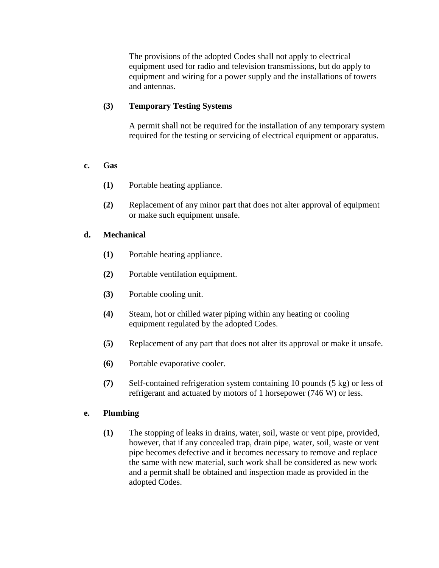The provisions of the adopted Codes shall not apply to electrical equipment used for radio and television transmissions, but do apply to equipment and wiring for a power supply and the installations of towers and antennas.

# **(3) Temporary Testing Systems**

A permit shall not be required for the installation of any temporary system required for the testing or servicing of electrical equipment or apparatus.

# **c. Gas**

- **(1)** Portable heating appliance.
- **(2)** Replacement of any minor part that does not alter approval of equipment or make such equipment unsafe.

# **d. Mechanical**

- **(1)** Portable heating appliance.
- **(2)** Portable ventilation equipment.
- **(3)** Portable cooling unit.
- **(4)** Steam, hot or chilled water piping within any heating or cooling equipment regulated by the adopted Codes.
- **(5)** Replacement of any part that does not alter its approval or make it unsafe.
- **(6)** Portable evaporative cooler.
- **(7)** Self-contained refrigeration system containing 10 pounds (5 kg) or less of refrigerant and actuated by motors of 1 horsepower (746 W) or less.

# **e. Plumbing**

**(1)** The stopping of leaks in drains, water, soil, waste or vent pipe, provided, however, that if any concealed trap, drain pipe, water, soil, waste or vent pipe becomes defective and it becomes necessary to remove and replace the same with new material, such work shall be considered as new work and a permit shall be obtained and inspection made as provided in the adopted Codes.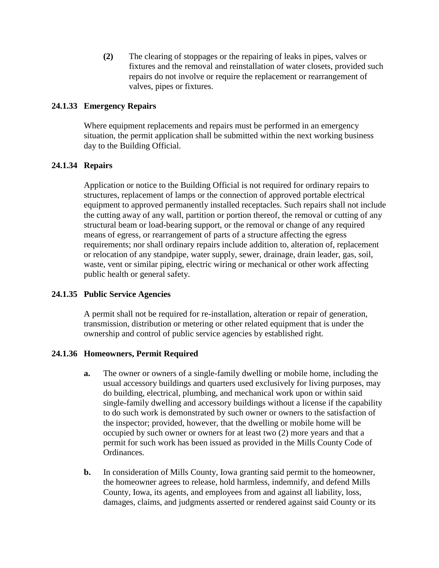**(2)** The clearing of stoppages or the repairing of leaks in pipes, valves or fixtures and the removal and reinstallation of water closets, provided such repairs do not involve or require the replacement or rearrangement of valves, pipes or fixtures.

# **24.1.33 Emergency Repairs**

Where equipment replacements and repairs must be performed in an emergency situation, the permit application shall be submitted within the next working business day to the Building Official.

## **24.1.34 Repairs**

Application or notice to the Building Official is not required for ordinary repairs to structures, replacement of lamps or the connection of approved portable electrical equipment to approved permanently installed receptacles. Such repairs shall not include the cutting away of any wall, partition or portion thereof, the removal or cutting of any structural beam or load-bearing support, or the removal or change of any required means of egress, or rearrangement of parts of a structure affecting the egress requirements; nor shall ordinary repairs include addition to, alteration of, replacement or relocation of any standpipe, water supply, sewer, drainage, drain leader, gas, soil, waste, vent or similar piping, electric wiring or mechanical or other work affecting public health or general safety.

### **24.1.35 Public Service Agencies**

A permit shall not be required for re-installation, alteration or repair of generation, transmission, distribution or metering or other related equipment that is under the ownership and control of public service agencies by established right.

### **24.1.36 Homeowners, Permit Required**

- **a.** The owner or owners of a single-family dwelling or mobile home, including the usual accessory buildings and quarters used exclusively for living purposes, may do building, electrical, plumbing, and mechanical work upon or within said single-family dwelling and accessory buildings without a license if the capability to do such work is demonstrated by such owner or owners to the satisfaction of the inspector; provided, however, that the dwelling or mobile home will be occupied by such owner or owners for at least two (2) more years and that a permit for such work has been issued as provided in the Mills County Code of Ordinances*.*
- **b.** In consideration of Mills County, Iowa granting said permit to the homeowner, the homeowner agrees to release, hold harmless, indemnify, and defend Mills County, Iowa, its agents, and employees from and against all liability, loss, damages, claims, and judgments asserted or rendered against said County or its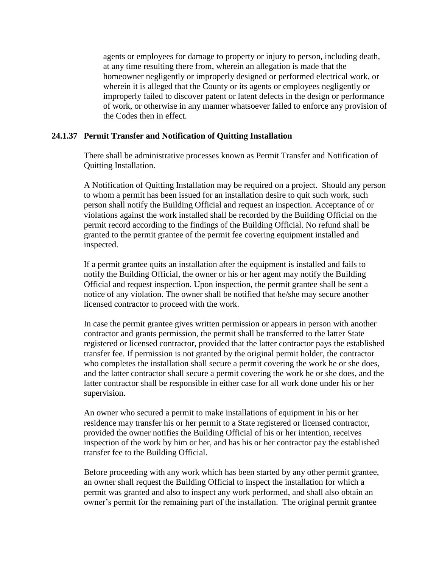agents or employees for damage to property or injury to person, including death, at any time resulting there from, wherein an allegation is made that the homeowner negligently or improperly designed or performed electrical work, or wherein it is alleged that the County or its agents or employees negligently or improperly failed to discover patent or latent defects in the design or performance of work, or otherwise in any manner whatsoever failed to enforce any provision of the Codes then in effect.

### **24.1.37 Permit Transfer and Notification of Quitting Installation**

There shall be administrative processes known as Permit Transfer and Notification of Quitting Installation.

A Notification of Quitting Installation may be required on a project. Should any person to whom a permit has been issued for an installation desire to quit such work, such person shall notify the Building Official and request an inspection. Acceptance of or violations against the work installed shall be recorded by the Building Official on the permit record according to the findings of the Building Official. No refund shall be granted to the permit grantee of the permit fee covering equipment installed and inspected.

If a permit grantee quits an installation after the equipment is installed and fails to notify the Building Official, the owner or his or her agent may notify the Building Official and request inspection. Upon inspection, the permit grantee shall be sent a notice of any violation. The owner shall be notified that he/she may secure another licensed contractor to proceed with the work.

In case the permit grantee gives written permission or appears in person with another contractor and grants permission, the permit shall be transferred to the latter State registered or licensed contractor, provided that the latter contractor pays the established transfer fee. If permission is not granted by the original permit holder, the contractor who completes the installation shall secure a permit covering the work he or she does, and the latter contractor shall secure a permit covering the work he or she does, and the latter contractor shall be responsible in either case for all work done under his or her supervision.

An owner who secured a permit to make installations of equipment in his or her residence may transfer his or her permit to a State registered or licensed contractor, provided the owner notifies the Building Official of his or her intention, receives inspection of the work by him or her, and has his or her contractor pay the established transfer fee to the Building Official.

Before proceeding with any work which has been started by any other permit grantee, an owner shall request the Building Official to inspect the installation for which a permit was granted and also to inspect any work performed, and shall also obtain an owner's permit for the remaining part of the installation. The original permit grantee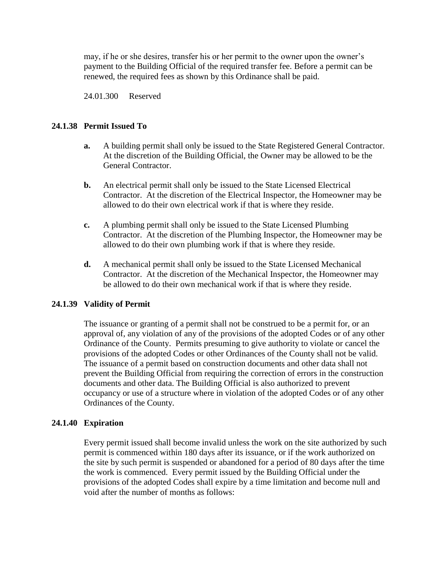may, if he or she desires, transfer his or her permit to the owner upon the owner's payment to the Building Official of the required transfer fee. Before a permit can be renewed, the required fees as shown by this Ordinance shall be paid.

24.01.300 Reserved

## **24.1.38 Permit Issued To**

- **a.** A building permit shall only be issued to the State Registered General Contractor. At the discretion of the Building Official, the Owner may be allowed to be the General Contractor.
- **b.** An electrical permit shall only be issued to the State Licensed Electrical Contractor. At the discretion of the Electrical Inspector, the Homeowner may be allowed to do their own electrical work if that is where they reside.
- **c.** A plumbing permit shall only be issued to the State Licensed Plumbing Contractor. At the discretion of the Plumbing Inspector, the Homeowner may be allowed to do their own plumbing work if that is where they reside.
- **d.** A mechanical permit shall only be issued to the State Licensed Mechanical Contractor. At the discretion of the Mechanical Inspector, the Homeowner may be allowed to do their own mechanical work if that is where they reside.

### **24.1.39 Validity of Permit**

The issuance or granting of a permit shall not be construed to be a permit for, or an approval of, any violation of any of the provisions of the adopted Codes or of any other Ordinance of the County. Permits presuming to give authority to violate or cancel the provisions of the adopted Codes or other Ordinances of the County shall not be valid. The issuance of a permit based on construction documents and other data shall not prevent the Building Official from requiring the correction of errors in the construction documents and other data. The Building Official is also authorized to prevent occupancy or use of a structure where in violation of the adopted Codes or of any other Ordinances of the County.

### **24.1.40 Expiration**

Every permit issued shall become invalid unless the work on the site authorized by such permit is commenced within 180 days after its issuance, or if the work authorized on the site by such permit is suspended or abandoned for a period of 80 days after the time the work is commenced. Every permit issued by the Building Official under the provisions of the adopted Codes shall expire by a time limitation and become null and void after the number of months as follows: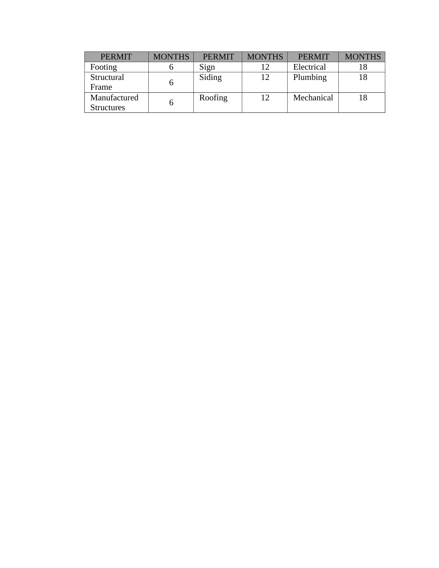| <b>PERMIT</b>     | <b>MONTHS</b> | <b>PERMIT</b> | <b>MONTHS</b> | <b>PERMIT</b> | <b>MONTHS</b> |
|-------------------|---------------|---------------|---------------|---------------|---------------|
| Footing           |               | Sign          | 12            | Electrical    |               |
| Structural        |               | Siding        | 12            | Plumbing      |               |
| Frame             |               |               |               |               |               |
| Manufactured      |               | Roofing       | 12            | Mechanical    |               |
| <b>Structures</b> |               |               |               |               |               |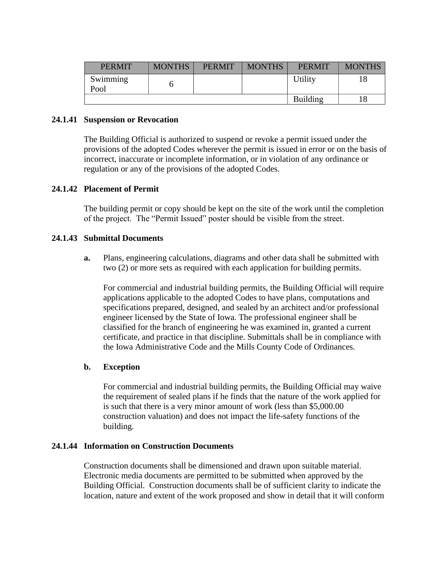| <b>PERMIT</b>    | <b>MONTHS</b> | <b>PERMIT</b> | <b>MONTHS</b> | <b>PERMIT</b> | <b>MONTHS</b> |
|------------------|---------------|---------------|---------------|---------------|---------------|
| Swimming<br>Pool |               |               |               | Utility       |               |
|                  |               |               |               | Building      |               |

### **24.1.41 Suspension or Revocation**

The Building Official is authorized to suspend or revoke a permit issued under the provisions of the adopted Codes wherever the permit is issued in error or on the basis of incorrect, inaccurate or incomplete information, or in violation of any ordinance or regulation or any of the provisions of the adopted Codes.

### **24.1.42 Placement of Permit**

The building permit or copy should be kept on the site of the work until the completion of the project. The "Permit Issued" poster should be visible from the street.

### **24.1.43 Submittal Documents**

**a.** Plans, engineering calculations, diagrams and other data shall be submitted with two (2) or more sets as required with each application for building permits.

For commercial and industrial building permits, the Building Official will require applications applicable to the adopted Codes to have plans, computations and specifications prepared, designed, and sealed by an architect and/or professional engineer licensed by the State of Iowa. The professional engineer shall be classified for the branch of engineering he was examined in, granted a current certificate, and practice in that discipline. Submittals shall be in compliance with the Iowa Administrative Code and the Mills County Code of Ordinances.

### **b. Exception**

For commercial and industrial building permits, the Building Official may waive the requirement of sealed plans if he finds that the nature of the work applied for is such that there is a very minor amount of work (less than \$5,000.00 construction valuation) and does not impact the life-safety functions of the building.

## **24.1.44 Information on Construction Documents**

Construction documents shall be dimensioned and drawn upon suitable material. Electronic media documents are permitted to be submitted when approved by the Building Official. Construction documents shall be of sufficient clarity to indicate the location, nature and extent of the work proposed and show in detail that it will conform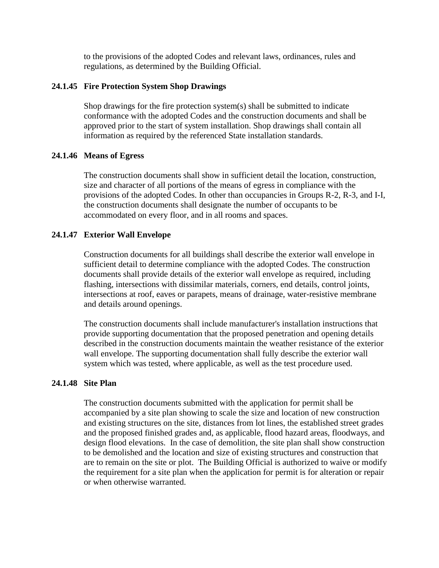to the provisions of the adopted Codes and relevant laws, ordinances, rules and regulations, as determined by the Building Official.

## **24.1.45 Fire Protection System Shop Drawings**

Shop drawings for the fire protection system(s) shall be submitted to indicate conformance with the adopted Codes and the construction documents and shall be approved prior to the start of system installation. Shop drawings shall contain all information as required by the referenced State installation standards.

## **24.1.46 Means of Egress**

The construction documents shall show in sufficient detail the location, construction, size and character of all portions of the means of egress in compliance with the provisions of the adopted Codes. In other than occupancies in Groups R-2, R-3, and I-I, the construction documents shall designate the number of occupants to be accommodated on every floor, and in all rooms and spaces.

## **24.1.47 Exterior Wall Envelope**

Construction documents for all buildings shall describe the exterior wall envelope in sufficient detail to determine compliance with the adopted Codes. The construction documents shall provide details of the exterior wall envelope as required, including flashing, intersections with dissimilar materials, corners, end details, control joints, intersections at roof, eaves or parapets, means of drainage, water-resistive membrane and details around openings.

The construction documents shall include manufacturer's installation instructions that provide supporting documentation that the proposed penetration and opening details described in the construction documents maintain the weather resistance of the exterior wall envelope. The supporting documentation shall fully describe the exterior wall system which was tested, where applicable, as well as the test procedure used.

### **24.1.48 Site Plan**

The construction documents submitted with the application for permit shall be accompanied by a site plan showing to scale the size and location of new construction and existing structures on the site, distances from lot lines, the established street grades and the proposed finished grades and, as applicable, flood hazard areas, floodways, and design flood elevations. In the case of demolition, the site plan shall show construction to be demolished and the location and size of existing structures and construction that are to remain on the site or plot. The Building Official is authorized to waive or modify the requirement for a site plan when the application for permit is for alteration or repair or when otherwise warranted.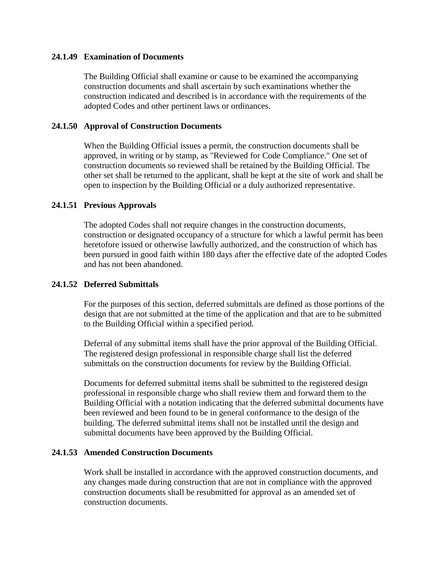### **24.1.49 Examination of Documents**

The Building Official shall examine or cause to be examined the accompanying construction documents and shall ascertain by such examinations whether the construction indicated and described is in accordance with the requirements of the adopted Codes and other pertinent laws or ordinances.

### **24.1.50 Approval of Construction Documents**

When the Building Official issues a permit, the construction documents shall be approved, in writing or by stamp, as "Reviewed for Code Compliance." One set of construction documents so reviewed shall be retained by the Building Official. The other set shall be returned to the applicant, shall be kept at the site of work and shall be open to inspection by the Building Official or a duly authorized representative.

### **24.1.51 Previous Approvals**

The adopted Codes shall not require changes in the construction documents, construction or designated occupancy of a structure for which a lawful permit has been heretofore issued or otherwise lawfully authorized, and the construction of which has been pursued in good faith within 180 days after the effective date of the adopted Codes and has not been abandoned.

### **24.1.52 Deferred Submittals**

For the purposes of this section, deferred submittals are defined as those portions of the design that are not submitted at the time of the application and that are to be submitted to the Building Official within a specified period.

Deferral of any submittal items shall have the prior approval of the Building Official. The registered design professional in responsible charge shall list the deferred submittals on the construction documents for review by the Building Official.

Documents for deferred submittal items shall be submitted to the registered design professional in responsible charge who shall review them and forward them to the Building Official with a notation indicating that the deferred submittal documents have been reviewed and been found to be in general conformance to the design of the building. The deferred submittal items shall not be installed until the design and submittal documents have been approved by the Building Official.

#### **24.1.53 Amended Construction Documents**

Work shall be installed in accordance with the approved construction documents, and any changes made during construction that are not in compliance with the approved construction documents shall be resubmitted for approval as an amended set of construction documents.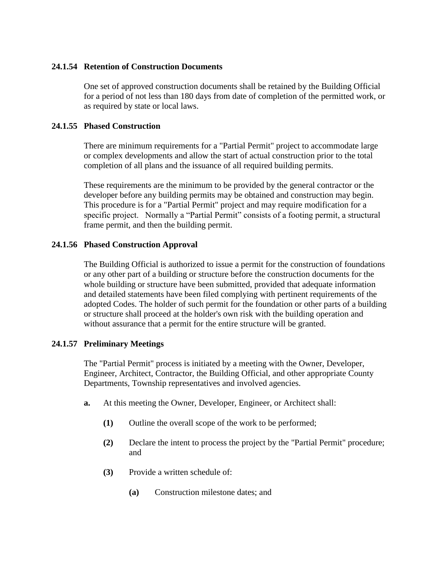### **24.1.54 Retention of Construction Documents**

One set of approved construction documents shall be retained by the Building Official for a period of not less than 180 days from date of completion of the permitted work, or as required by state or local laws.

## **24.1.55 Phased Construction**

There are minimum requirements for a "Partial Permit" project to accommodate large or complex developments and allow the start of actual construction prior to the total completion of all plans and the issuance of all required building permits.

These requirements are the minimum to be provided by the general contractor or the developer before any building permits may be obtained and construction may begin. This procedure is for a "Partial Permit" project and may require modification for a specific project. Normally a "Partial Permit" consists of a footing permit, a structural frame permit, and then the building permit.

## **24.1.56 Phased Construction Approval**

The Building Official is authorized to issue a permit for the construction of foundations or any other part of a building or structure before the construction documents for the whole building or structure have been submitted, provided that adequate information and detailed statements have been filed complying with pertinent requirements of the adopted Codes. The holder of such permit for the foundation or other parts of a building or structure shall proceed at the holder's own risk with the building operation and without assurance that a permit for the entire structure will be granted.

### **24.1.57 Preliminary Meetings**

The "Partial Permit" process is initiated by a meeting with the Owner, Developer, Engineer, Architect, Contractor, the Building Official, and other appropriate County Departments, Township representatives and involved agencies.

- **a.** At this meeting the Owner, Developer, Engineer, or Architect shall:
	- **(1)** Outline the overall scope of the work to be performed;
	- **(2)** Declare the intent to process the project by the "Partial Permit" procedure; and
	- **(3)** Provide a written schedule of:
		- **(a)** Construction milestone dates; and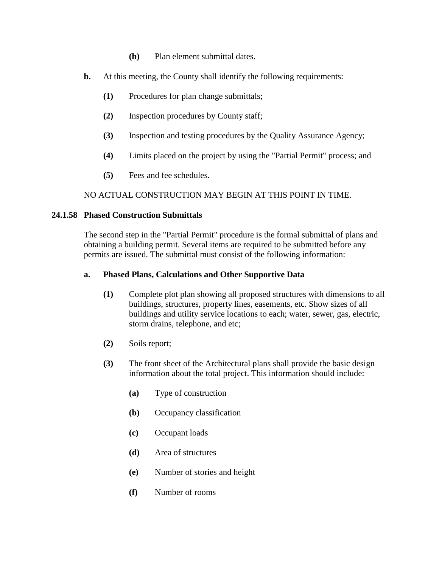- **(b)** Plan element submittal dates.
- **b.** At this meeting, the County shall identify the following requirements:
	- **(1)** Procedures for plan change submittals;
	- **(2)** Inspection procedures by County staff;
	- **(3)** Inspection and testing procedures by the Quality Assurance Agency;
	- **(4)** Limits placed on the project by using the "Partial Permit" process; and
	- **(5)** Fees and fee schedules.

NO ACTUAL CONSTRUCTION MAY BEGIN AT THIS POINT IN TIME.

### **24.1.58 Phased Construction Submittals**

The second step in the "Partial Permit" procedure is the formal submittal of plans and obtaining a building permit. Several items are required to be submitted before any permits are issued. The submittal must consist of the following information:

### **a. Phased Plans, Calculations and Other Supportive Data**

- **(1)** Complete plot plan showing all proposed structures with dimensions to all buildings, structures, property lines, easements, etc. Show sizes of all buildings and utility service locations to each; water, sewer, gas, electric, storm drains, telephone, and etc;
- **(2)** Soils report;
- **(3)** The front sheet of the Architectural plans shall provide the basic design information about the total project. This information should include:
	- **(a)** Type of construction
	- **(b)** Occupancy classification
	- **(c)** Occupant loads
	- **(d)** Area of structures
	- **(e)** Number of stories and height
	- **(f)** Number of rooms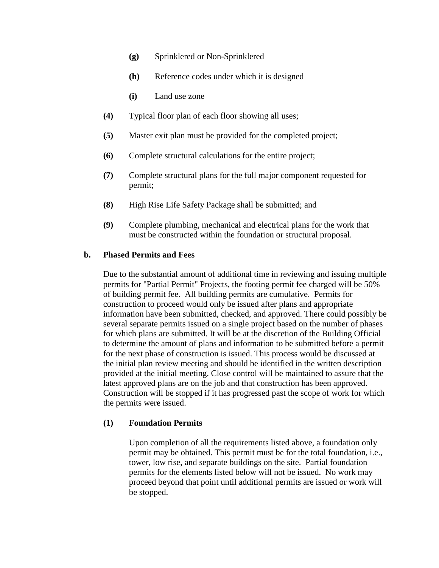- **(g)** Sprinklered or Non-Sprinklered
- **(h)** Reference codes under which it is designed
- **(i)** Land use zone
- **(4)** Typical floor plan of each floor showing all uses;
- **(5)** Master exit plan must be provided for the completed project;
- **(6)** Complete structural calculations for the entire project;
- **(7)** Complete structural plans for the full major component requested for permit;
- **(8)** High Rise Life Safety Package shall be submitted; and
- **(9)** Complete plumbing, mechanical and electrical plans for the work that must be constructed within the foundation or structural proposal.

## **b. Phased Permits and Fees**

Due to the substantial amount of additional time in reviewing and issuing multiple permits for "Partial Permit" Projects, the footing permit fee charged will be 50% of building permit fee. All building permits are cumulative. Permits for construction to proceed would only be issued after plans and appropriate information have been submitted, checked, and approved. There could possibly be several separate permits issued on a single project based on the number of phases for which plans are submitted. It will be at the discretion of the Building Official to determine the amount of plans and information to be submitted before a permit for the next phase of construction is issued. This process would be discussed at the initial plan review meeting and should be identified in the written description provided at the initial meeting. Close control will be maintained to assure that the latest approved plans are on the job and that construction has been approved. Construction will be stopped if it has progressed past the scope of work for which the permits were issued.

# **(1) Foundation Permits**

Upon completion of all the requirements listed above, a foundation only permit may be obtained. This permit must be for the total foundation, i.e., tower, low rise, and separate buildings on the site. Partial foundation permits for the elements listed below will not be issued. No work may proceed beyond that point until additional permits are issued or work will be stopped.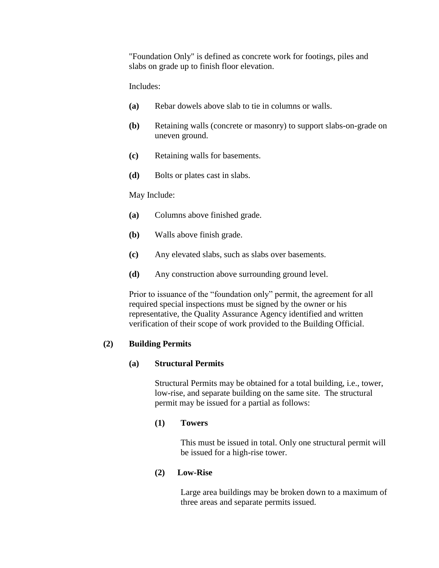"Foundation Only" is defined as concrete work for footings, piles and slabs on grade up to finish floor elevation.

Includes:

- **(a)** Rebar dowels above slab to tie in columns or walls.
- **(b)** Retaining walls (concrete or masonry) to support slabs-on-grade on uneven ground.
- **(c)** Retaining walls for basements.
- **(d)** Bolts or plates cast in slabs.

### May Include:

- **(a)** Columns above finished grade.
- **(b)** Walls above finish grade.
- **(c)** Any elevated slabs, such as slabs over basements.
- **(d)** Any construction above surrounding ground level.

Prior to issuance of the "foundation only" permit, the agreement for all required special inspections must be signed by the owner or his representative, the Quality Assurance Agency identified and written verification of their scope of work provided to the Building Official.

# **(2) Building Permits**

### **(a) Structural Permits**

Structural Permits may be obtained for a total building, i.e., tower, low-rise, and separate building on the same site. The structural permit may be issued for a partial as follows:

### **(1) Towers**

This must be issued in total. Only one structural permit will be issued for a high-rise tower.

### **(2) Low-Rise**

Large area buildings may be broken down to a maximum of three areas and separate permits issued.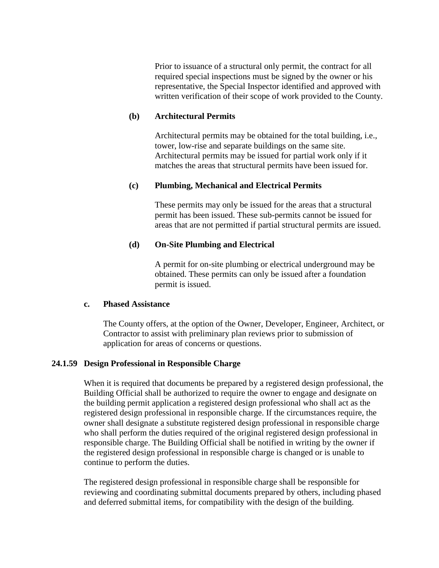Prior to issuance of a structural only permit, the contract for all required special inspections must be signed by the owner or his representative, the Special Inspector identified and approved with written verification of their scope of work provided to the County.

### **(b) Architectural Permits**

Architectural permits may be obtained for the total building, i.e., tower, low-rise and separate buildings on the same site. Architectural permits may be issued for partial work only if it matches the areas that structural permits have been issued for.

### **(c) Plumbing, Mechanical and Electrical Permits**

These permits may only be issued for the areas that a structural permit has been issued. These sub-permits cannot be issued for areas that are not permitted if partial structural permits are issued.

### **(d) On-Site Plumbing and Electrical**

A permit for on-site plumbing or electrical underground may be obtained. These permits can only be issued after a foundation permit is issued.

### **c. Phased Assistance**

The County offers, at the option of the Owner, Developer, Engineer, Architect, or Contractor to assist with preliminary plan reviews prior to submission of application for areas of concerns or questions.

#### **24.1.59 Design Professional in Responsible Charge**

When it is required that documents be prepared by a registered design professional, the Building Official shall be authorized to require the owner to engage and designate on the building permit application a registered design professional who shall act as the registered design professional in responsible charge. If the circumstances require, the owner shall designate a substitute registered design professional in responsible charge who shall perform the duties required of the original registered design professional in responsible charge. The Building Official shall be notified in writing by the owner if the registered design professional in responsible charge is changed or is unable to continue to perform the duties.

The registered design professional in responsible charge shall be responsible for reviewing and coordinating submittal documents prepared by others, including phased and deferred submittal items, for compatibility with the design of the building.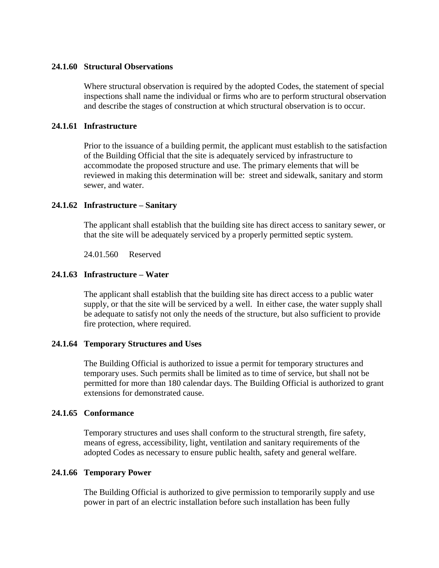### **24.1.60 Structural Observations**

Where structural observation is required by the adopted Codes, the statement of special inspections shall name the individual or firms who are to perform structural observation and describe the stages of construction at which structural observation is to occur.

### **24.1.61 Infrastructure**

Prior to the issuance of a building permit, the applicant must establish to the satisfaction of the Building Official that the site is adequately serviced by infrastructure to accommodate the proposed structure and use. The primary elements that will be reviewed in making this determination will be: street and sidewalk, sanitary and storm sewer, and water.

### **24.1.62 Infrastructure – Sanitary**

The applicant shall establish that the building site has direct access to sanitary sewer, or that the site will be adequately serviced by a properly permitted septic system.

24.01.560 Reserved

### **24.1.63 Infrastructure – Water**

The applicant shall establish that the building site has direct access to a public water supply, or that the site will be serviced by a well. In either case, the water supply shall be adequate to satisfy not only the needs of the structure, but also sufficient to provide fire protection, where required.

#### **24.1.64 Temporary Structures and Uses**

The Building Official is authorized to issue a permit for temporary structures and temporary uses. Such permits shall be limited as to time of service, but shall not be permitted for more than 180 calendar days. The Building Official is authorized to grant extensions for demonstrated cause.

### **24.1.65 Conformance**

Temporary structures and uses shall conform to the structural strength, fire safety, means of egress, accessibility, light, ventilation and sanitary requirements of the adopted Codes as necessary to ensure public health, safety and general welfare.

### **24.1.66 Temporary Power**

The Building Official is authorized to give permission to temporarily supply and use power in part of an electric installation before such installation has been fully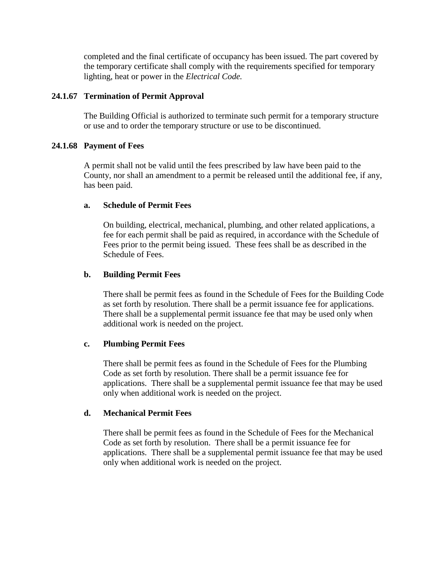completed and the final certificate of occupancy has been issued. The part covered by the temporary certificate shall comply with the requirements specified for temporary lighting, heat or power in the *Electrical Code.* 

### **24.1.67 Termination of Permit Approval**

The Building Official is authorized to terminate such permit for a temporary structure or use and to order the temporary structure or use to be discontinued.

## **24.1.68 Payment of Fees**

A permit shall not be valid until the fees prescribed by law have been paid to the County, nor shall an amendment to a permit be released until the additional fee, if any, has been paid.

### **a. Schedule of Permit Fees**

On building, electrical, mechanical, plumbing, and other related applications, a fee for each permit shall be paid as required, in accordance with the Schedule of Fees prior to the permit being issued. These fees shall be as described in the Schedule of Fees.

## **b. Building Permit Fees**

There shall be permit fees as found in the Schedule of Fees for the Building Code as set forth by resolution. There shall be a permit issuance fee for applications. There shall be a supplemental permit issuance fee that may be used only when additional work is needed on the project.

### **c. Plumbing Permit Fees**

There shall be permit fees as found in the Schedule of Fees for the Plumbing Code as set forth by resolution. There shall be a permit issuance fee for applications. There shall be a supplemental permit issuance fee that may be used only when additional work is needed on the project.

# **d. Mechanical Permit Fees**

There shall be permit fees as found in the Schedule of Fees for the Mechanical Code as set forth by resolution. There shall be a permit issuance fee for applications. There shall be a supplemental permit issuance fee that may be used only when additional work is needed on the project.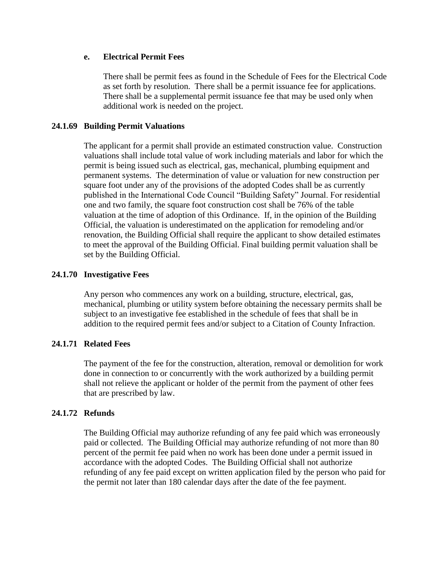### **e. Electrical Permit Fees**

There shall be permit fees as found in the Schedule of Fees for the Electrical Code as set forth by resolution. There shall be a permit issuance fee for applications. There shall be a supplemental permit issuance fee that may be used only when additional work is needed on the project.

## **24.1.69 Building Permit Valuations**

The applicant for a permit shall provide an estimated construction value. Construction valuations shall include total value of work including materials and labor for which the permit is being issued such as electrical, gas, mechanical, plumbing equipment and permanent systems. The determination of value or valuation for new construction per square foot under any of the provisions of the adopted Codes shall be as currently published in the International Code Council "Building Safety" Journal. For residential one and two family, the square foot construction cost shall be 76% of the table valuation at the time of adoption of this Ordinance. If, in the opinion of the Building Official, the valuation is underestimated on the application for remodeling and/or renovation, the Building Official shall require the applicant to show detailed estimates to meet the approval of the Building Official. Final building permit valuation shall be set by the Building Official.

## **24.1.70 Investigative Fees**

Any person who commences any work on a building, structure, electrical, gas, mechanical, plumbing or utility system before obtaining the necessary permits shall be subject to an investigative fee established in the schedule of fees that shall be in addition to the required permit fees and/or subject to a Citation of County Infraction.

# **24.1.71 Related Fees**

The payment of the fee for the construction, alteration, removal or demolition for work done in connection to or concurrently with the work authorized by a building permit shall not relieve the applicant or holder of the permit from the payment of other fees that are prescribed by law.

### **24.1.72 Refunds**

The Building Official may authorize refunding of any fee paid which was erroneously paid or collected. The Building Official may authorize refunding of not more than 80 percent of the permit fee paid when no work has been done under a permit issued in accordance with the adopted Codes. The Building Official shall not authorize refunding of any fee paid except on written application filed by the person who paid for the permit not later than 180 calendar days after the date of the fee payment.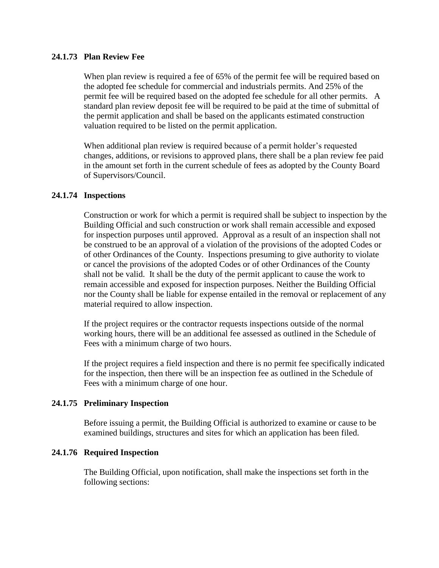### **24.1.73 Plan Review Fee**

When plan review is required a fee of 65% of the permit fee will be required based on the adopted fee schedule for commercial and industrials permits. And 25% of the permit fee will be required based on the adopted fee schedule for all other permits. A standard plan review deposit fee will be required to be paid at the time of submittal of the permit application and shall be based on the applicants estimated construction valuation required to be listed on the permit application.

When additional plan review is required because of a permit holder's requested changes, additions, or revisions to approved plans, there shall be a plan review fee paid in the amount set forth in the current schedule of fees as adopted by the County Board of Supervisors/Council.

### **24.1.74 Inspections**

Construction or work for which a permit is required shall be subject to inspection by the Building Official and such construction or work shall remain accessible and exposed for inspection purposes until approved. Approval as a result of an inspection shall not be construed to be an approval of a violation of the provisions of the adopted Codes or of other Ordinances of the County. Inspections presuming to give authority to violate or cancel the provisions of the adopted Codes or of other Ordinances of the County shall not be valid. It shall be the duty of the permit applicant to cause the work to remain accessible and exposed for inspection purposes. Neither the Building Official nor the County shall be liable for expense entailed in the removal or replacement of any material required to allow inspection.

If the project requires or the contractor requests inspections outside of the normal working hours, there will be an additional fee assessed as outlined in the Schedule of Fees with a minimum charge of two hours.

If the project requires a field inspection and there is no permit fee specifically indicated for the inspection, then there will be an inspection fee as outlined in the Schedule of Fees with a minimum charge of one hour.

### **24.1.75 Preliminary Inspection**

Before issuing a permit, the Building Official is authorized to examine or cause to be examined buildings, structures and sites for which an application has been filed.

### **24.1.76 Required Inspection**

The Building Official, upon notification, shall make the inspections set forth in the following sections: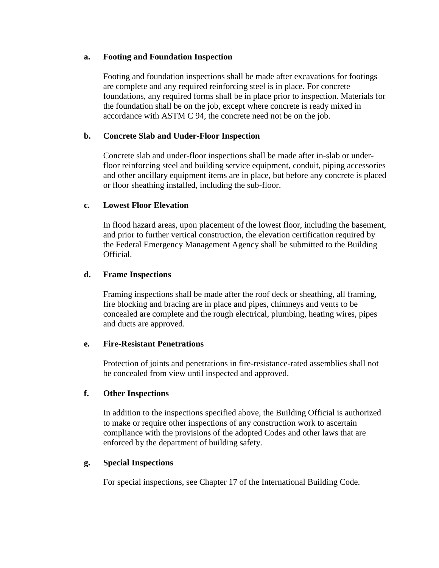### **a. Footing and Foundation Inspection**

Footing and foundation inspections shall be made after excavations for footings are complete and any required reinforcing steel is in place. For concrete foundations, any required forms shall be in place prior to inspection. Materials for the foundation shall be on the job, except where concrete is ready mixed in accordance with ASTM C 94, the concrete need not be on the job.

# **b. Concrete Slab and Under-Floor Inspection**

Concrete slab and under-floor inspections shall be made after in-slab or underfloor reinforcing steel and building service equipment, conduit, piping accessories and other ancillary equipment items are in place, but before any concrete is placed or floor sheathing installed, including the sub-floor.

## **c. Lowest Floor Elevation**

In flood hazard areas, upon placement of the lowest floor, including the basement, and prior to further vertical construction, the elevation certification required by the Federal Emergency Management Agency shall be submitted to the Building Official.

## **d. Frame Inspections**

Framing inspections shall be made after the roof deck or sheathing, all framing, fire blocking and bracing are in place and pipes, chimneys and vents to be concealed are complete and the rough electrical, plumbing, heating wires, pipes and ducts are approved.

### **e. Fire-Resistant Penetrations**

Protection of joints and penetrations in fire-resistance-rated assemblies shall not be concealed from view until inspected and approved.

### **f. Other Inspections**

In addition to the inspections specified above, the Building Official is authorized to make or require other inspections of any construction work to ascertain compliance with the provisions of the adopted Codes and other laws that are enforced by the department of building safety.

### **g. Special Inspections**

For special inspections, see Chapter 17 of the International Building Code.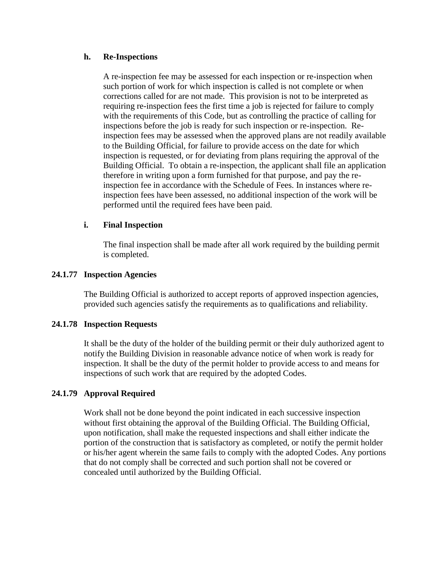### **h. Re-Inspections**

A re-inspection fee may be assessed for each inspection or re-inspection when such portion of work for which inspection is called is not complete or when corrections called for are not made. This provision is not to be interpreted as requiring re-inspection fees the first time a job is rejected for failure to comply with the requirements of this Code, but as controlling the practice of calling for inspections before the job is ready for such inspection or re-inspection. Reinspection fees may be assessed when the approved plans are not readily available to the Building Official, for failure to provide access on the date for which inspection is requested, or for deviating from plans requiring the approval of the Building Official. To obtain a re-inspection, the applicant shall file an application therefore in writing upon a form furnished for that purpose, and pay the reinspection fee in accordance with the Schedule of Fees. In instances where reinspection fees have been assessed, no additional inspection of the work will be performed until the required fees have been paid.

## **i. Final Inspection**

The final inspection shall be made after all work required by the building permit is completed.

## **24.1.77 Inspection Agencies**

The Building Official is authorized to accept reports of approved inspection agencies, provided such agencies satisfy the requirements as to qualifications and reliability.

### **24.1.78 Inspection Requests**

It shall be the duty of the holder of the building permit or their duly authorized agent to notify the Building Division in reasonable advance notice of when work is ready for inspection. It shall be the duty of the permit holder to provide access to and means for inspections of such work that are required by the adopted Codes.

# **24.1.79 Approval Required**

Work shall not be done beyond the point indicated in each successive inspection without first obtaining the approval of the Building Official. The Building Official, upon notification, shall make the requested inspections and shall either indicate the portion of the construction that is satisfactory as completed, or notify the permit holder or his/her agent wherein the same fails to comply with the adopted Codes. Any portions that do not comply shall be corrected and such portion shall not be covered or concealed until authorized by the Building Official.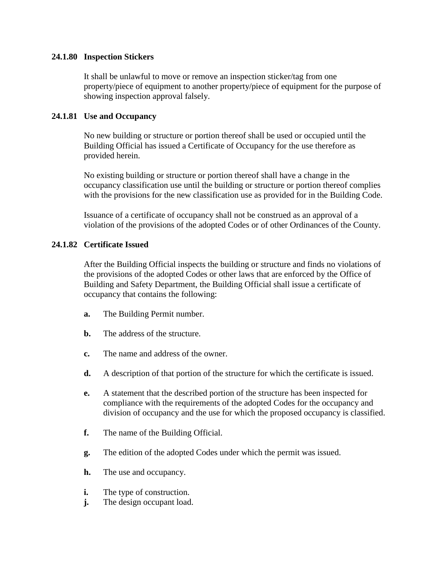### **24.1.80 Inspection Stickers**

It shall be unlawful to move or remove an inspection sticker/tag from one property/piece of equipment to another property/piece of equipment for the purpose of showing inspection approval falsely.

## **24.1.81 Use and Occupancy**

No new building or structure or portion thereof shall be used or occupied until the Building Official has issued a Certificate of Occupancy for the use therefore as provided herein.

No existing building or structure or portion thereof shall have a change in the occupancy classification use until the building or structure or portion thereof complies with the provisions for the new classification use as provided for in the Building Code.

Issuance of a certificate of occupancy shall not be construed as an approval of a violation of the provisions of the adopted Codes or of other Ordinances of the County.

## **24.1.82 Certificate Issued**

After the Building Official inspects the building or structure and finds no violations of the provisions of the adopted Codes or other laws that are enforced by the Office of Building and Safety Department, the Building Official shall issue a certificate of occupancy that contains the following:

- **a.** The Building Permit number.
- **b.** The address of the structure.
- **c.** The name and address of the owner.
- **d.** A description of that portion of the structure for which the certificate is issued.
- **e.** A statement that the described portion of the structure has been inspected for compliance with the requirements of the adopted Codes for the occupancy and division of occupancy and the use for which the proposed occupancy is classified.
- **f.** The name of the Building Official.
- **g.** The edition of the adopted Codes under which the permit was issued.
- **h.** The use and occupancy.
- **i.** The type of construction.
- **j.** The design occupant load.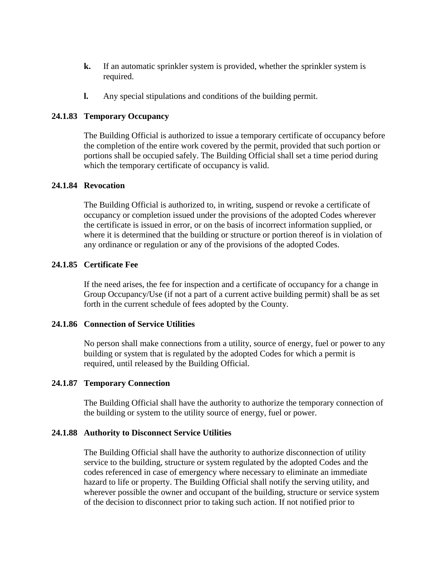- **k.** If an automatic sprinkler system is provided, whether the sprinkler system is required.
- **l.** Any special stipulations and conditions of the building permit.

### **24.1.83 Temporary Occupancy**

The Building Official is authorized to issue a temporary certificate of occupancy before the completion of the entire work covered by the permit, provided that such portion or portions shall be occupied safely. The Building Official shall set a time period during which the temporary certificate of occupancy is valid.

### **24.1.84 Revocation**

The Building Official is authorized to, in writing, suspend or revoke a certificate of occupancy or completion issued under the provisions of the adopted Codes wherever the certificate is issued in error, or on the basis of incorrect information supplied, or where it is determined that the building or structure or portion thereof is in violation of any ordinance or regulation or any of the provisions of the adopted Codes.

## **24.1.85 Certificate Fee**

If the need arises, the fee for inspection and a certificate of occupancy for a change in Group Occupancy/Use (if not a part of a current active building permit) shall be as set forth in the current schedule of fees adopted by the County.

### **24.1.86 Connection of Service Utilities**

No person shall make connections from a utility, source of energy, fuel or power to any building or system that is regulated by the adopted Codes for which a permit is required, until released by the Building Official.

#### **24.1.87 Temporary Connection**

The Building Official shall have the authority to authorize the temporary connection of the building or system to the utility source of energy, fuel or power.

#### **24.1.88 Authority to Disconnect Service Utilities**

The Building Official shall have the authority to authorize disconnection of utility service to the building, structure or system regulated by the adopted Codes and the codes referenced in case of emergency where necessary to eliminate an immediate hazard to life or property. The Building Official shall notify the serving utility, and wherever possible the owner and occupant of the building, structure or service system of the decision to disconnect prior to taking such action. If not notified prior to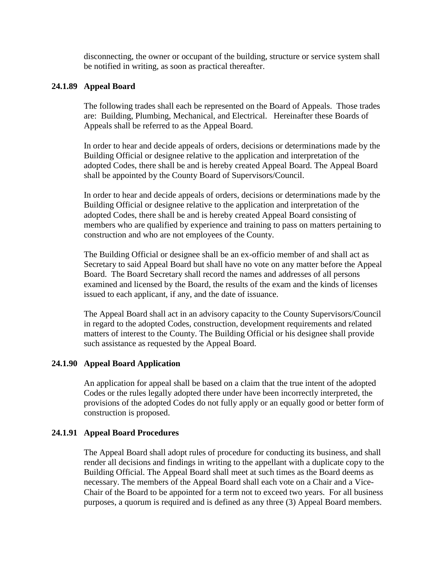disconnecting, the owner or occupant of the building, structure or service system shall be notified in writing, as soon as practical thereafter.

### **24.1.89 Appeal Board**

The following trades shall each be represented on the Board of Appeals. Those trades are: Building, Plumbing, Mechanical, and Electrical. Hereinafter these Boards of Appeals shall be referred to as the Appeal Board.

In order to hear and decide appeals of orders, decisions or determinations made by the Building Official or designee relative to the application and interpretation of the adopted Codes, there shall be and is hereby created Appeal Board. The Appeal Board shall be appointed by the County Board of Supervisors/Council.

In order to hear and decide appeals of orders, decisions or determinations made by the Building Official or designee relative to the application and interpretation of the adopted Codes, there shall be and is hereby created Appeal Board consisting of members who are qualified by experience and training to pass on matters pertaining to construction and who are not employees of the County.

The Building Official or designee shall be an ex-officio member of and shall act as Secretary to said Appeal Board but shall have no vote on any matter before the Appeal Board. The Board Secretary shall record the names and addresses of all persons examined and licensed by the Board, the results of the exam and the kinds of licenses issued to each applicant, if any, and the date of issuance.

The Appeal Board shall act in an advisory capacity to the County Supervisors/Council in regard to the adopted Codes, construction, development requirements and related matters of interest to the County. The Building Official or his designee shall provide such assistance as requested by the Appeal Board.

### **24.1.90 Appeal Board Application**

An application for appeal shall be based on a claim that the true intent of the adopted Codes or the rules legally adopted there under have been incorrectly interpreted, the provisions of the adopted Codes do not fully apply or an equally good or better form of construction is proposed.

### **24.1.91 Appeal Board Procedures**

The Appeal Board shall adopt rules of procedure for conducting its business, and shall render all decisions and findings in writing to the appellant with a duplicate copy to the Building Official. The Appeal Board shall meet at such times as the Board deems as necessary. The members of the Appeal Board shall each vote on a Chair and a Vice-Chair of the Board to be appointed for a term not to exceed two years. For all business purposes, a quorum is required and is defined as any three (3) Appeal Board members.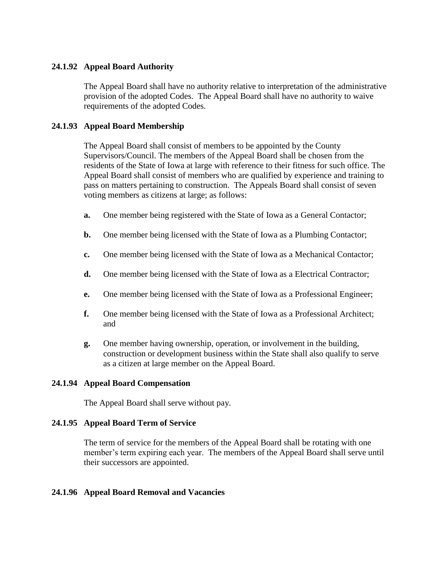# **24.1.92 Appeal Board Authority**

The Appeal Board shall have no authority relative to interpretation of the administrative provision of the adopted Codes. The Appeal Board shall have no authority to waive requirements of the adopted Codes.

## **24.1.93 Appeal Board Membership**

The Appeal Board shall consist of members to be appointed by the County Supervisors/Council. The members of the Appeal Board shall be chosen from the residents of the State of Iowa at large with reference to their fitness for such office. The Appeal Board shall consist of members who are qualified by experience and training to pass on matters pertaining to construction. The Appeals Board shall consist of seven voting members as citizens at large; as follows:

- **a.** One member being registered with the State of Iowa as a General Contactor;
- **b.** One member being licensed with the State of Iowa as a Plumbing Contactor;
- **c.** One member being licensed with the State of Iowa as a Mechanical Contactor;
- **d.** One member being licensed with the State of Iowa as a Electrical Contractor;
- **e.** One member being licensed with the State of Iowa as a Professional Engineer;
- **f.** One member being licensed with the State of Iowa as a Professional Architect; and
- **g.** One member having ownership, operation, or involvement in the building, construction or development business within the State shall also qualify to serve as a citizen at large member on the Appeal Board.

### **24.1.94 Appeal Board Compensation**

The Appeal Board shall serve without pay.

### **24.1.95 Appeal Board Term of Service**

The term of service for the members of the Appeal Board shall be rotating with one member's term expiring each year. The members of the Appeal Board shall serve until their successors are appointed.

### **24.1.96 Appeal Board Removal and Vacancies**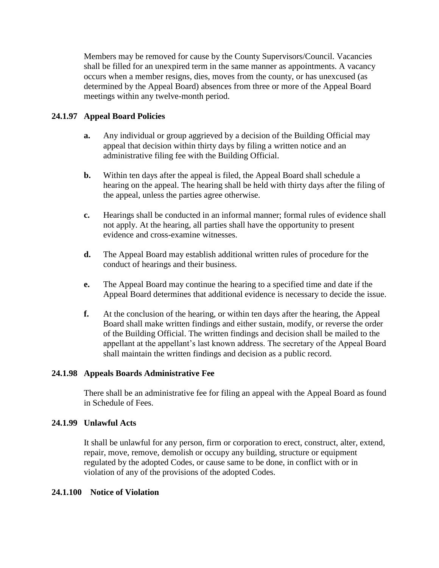Members may be removed for cause by the County Supervisors/Council. Vacancies shall be filled for an unexpired term in the same manner as appointments. A vacancy occurs when a member resigns, dies, moves from the county, or has unexcused (as determined by the Appeal Board) absences from three or more of the Appeal Board meetings within any twelve-month period.

# **24.1.97 Appeal Board Policies**

- **a.** Any individual or group aggrieved by a decision of the Building Official may appeal that decision within thirty days by filing a written notice and an administrative filing fee with the Building Official.
- **b.** Within ten days after the appeal is filed, the Appeal Board shall schedule a hearing on the appeal. The hearing shall be held with thirty days after the filing of the appeal, unless the parties agree otherwise.
- **c.** Hearings shall be conducted in an informal manner; formal rules of evidence shall not apply. At the hearing, all parties shall have the opportunity to present evidence and cross-examine witnesses.
- **d.** The Appeal Board may establish additional written rules of procedure for the conduct of hearings and their business.
- **e.** The Appeal Board may continue the hearing to a specified time and date if the Appeal Board determines that additional evidence is necessary to decide the issue.
- **f.** At the conclusion of the hearing, or within ten days after the hearing, the Appeal Board shall make written findings and either sustain, modify, or reverse the order of the Building Official. The written findings and decision shall be mailed to the appellant at the appellant's last known address. The secretary of the Appeal Board shall maintain the written findings and decision as a public record.

# **24.1.98 Appeals Boards Administrative Fee**

There shall be an administrative fee for filing an appeal with the Appeal Board as found in Schedule of Fees.

# **24.1.99 Unlawful Acts**

It shall be unlawful for any person, firm or corporation to erect, construct, alter, extend, repair, move, remove, demolish or occupy any building, structure or equipment regulated by the adopted Codes, or cause same to be done, in conflict with or in violation of any of the provisions of the adopted Codes.

### **24.1.100 Notice of Violation**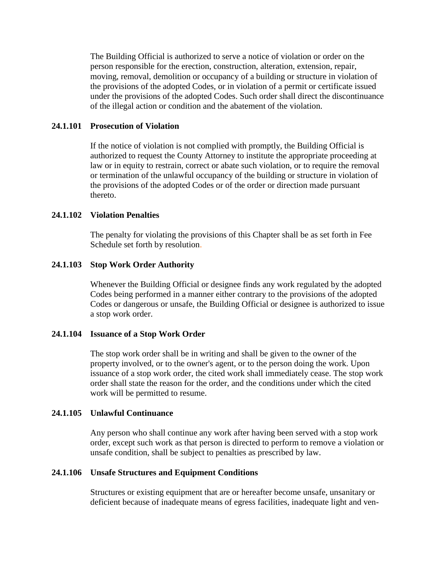The Building Official is authorized to serve a notice of violation or order on the person responsible for the erection, construction, alteration, extension, repair, moving, removal, demolition or occupancy of a building or structure in violation of the provisions of the adopted Codes, or in violation of a permit or certificate issued under the provisions of the adopted Codes. Such order shall direct the discontinuance of the illegal action or condition and the abatement of the violation.

### **24.1.101 Prosecution of Violation**

If the notice of violation is not complied with promptly, the Building Official is authorized to request the County Attorney to institute the appropriate proceeding at law or in equity to restrain, correct or abate such violation, or to require the removal or termination of the unlawful occupancy of the building or structure in violation of the provisions of the adopted Codes or of the order or direction made pursuant thereto.

### **24.1.102 Violation Penalties**

The penalty for violating the provisions of this Chapter shall be as set forth in Fee Schedule set forth by resolution.

### **24.1.103 Stop Work Order Authority**

Whenever the Building Official or designee finds any work regulated by the adopted Codes being performed in a manner either contrary to the provisions of the adopted Codes or dangerous or unsafe, the Building Official or designee is authorized to issue a stop work order.

#### **24.1.104 Issuance of a Stop Work Order**

The stop work order shall be in writing and shall be given to the owner of the property involved, or to the owner's agent, or to the person doing the work. Upon issuance of a stop work order, the cited work shall immediately cease. The stop work order shall state the reason for the order, and the conditions under which the cited work will be permitted to resume.

#### **24.1.105 Unlawful Continuance**

Any person who shall continue any work after having been served with a stop work order, except such work as that person is directed to perform to remove a violation or unsafe condition, shall be subject to penalties as prescribed by law.

#### **24.1.106 Unsafe Structures and Equipment Conditions**

Structures or existing equipment that are or hereafter become unsafe, unsanitary or deficient because of inadequate means of egress facilities, inadequate light and ven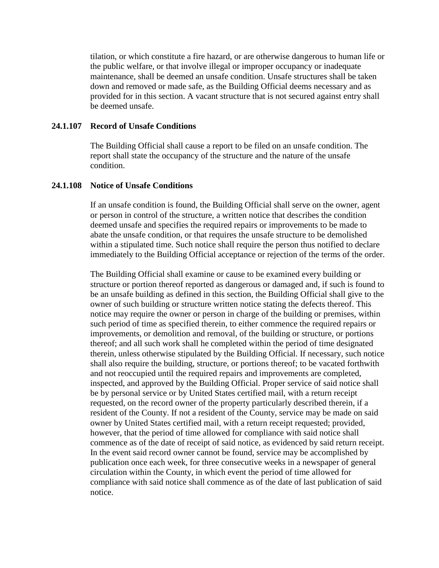tilation, or which constitute a fire hazard, or are otherwise dangerous to human life or the public welfare, or that involve illegal or improper occupancy or inadequate maintenance, shall be deemed an unsafe condition. Unsafe structures shall be taken down and removed or made safe, as the Building Official deems necessary and as provided for in this section. A vacant structure that is not secured against entry shall be deemed unsafe.

### **24.1.107 Record of Unsafe Conditions**

The Building Official shall cause a report to be filed on an unsafe condition. The report shall state the occupancy of the structure and the nature of the unsafe condition.

#### **24.1.108 Notice of Unsafe Conditions**

If an unsafe condition is found, the Building Official shall serve on the owner, agent or person in control of the structure, a written notice that describes the condition deemed unsafe and specifies the required repairs or improvements to be made to abate the unsafe condition, or that requires the unsafe structure to be demolished within a stipulated time. Such notice shall require the person thus notified to declare immediately to the Building Official acceptance or rejection of the terms of the order.

The Building Official shall examine or cause to be examined every building or structure or portion thereof reported as dangerous or damaged and, if such is found to be an unsafe building as defined in this section, the Building Official shall give to the owner of such building or structure written notice stating the defects thereof. This notice may require the owner or person in charge of the building or premises, within such period of time as specified therein, to either commence the required repairs or improvements, or demolition and removal, of the building or structure, or portions thereof; and all such work shall he completed within the period of time designated therein, unless otherwise stipulated by the Building Official. If necessary, such notice shall also require the building, structure, or portions thereof; to be vacated forthwith and not reoccupied until the required repairs and improvements are completed, inspected, and approved by the Building Official. Proper service of said notice shall be by personal service or by United States certified mail, with a return receipt requested, on the record owner of the property particularly described therein, if a resident of the County. If not a resident of the County, service may be made on said owner by United States certified mail, with a return receipt requested; provided, however, that the period of time allowed for compliance with said notice shall commence as of the date of receipt of said notice, as evidenced by said return receipt. In the event said record owner cannot be found, service may be accomplished by publication once each week, for three consecutive weeks in a newspaper of general circulation within the County, in which event the period of time allowed for compliance with said notice shall commence as of the date of last publication of said notice.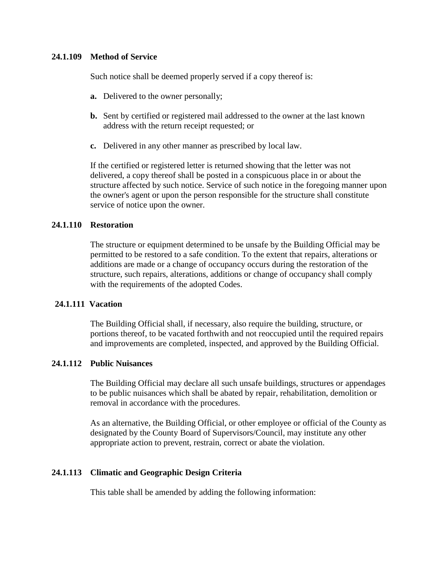### **24.1.109 Method of Service**

Such notice shall be deemed properly served if a copy thereof is:

- **a.** Delivered to the owner personally;
- **b.** Sent by certified or registered mail addressed to the owner at the last known address with the return receipt requested; or
- **c.** Delivered in any other manner as prescribed by local law.

If the certified or registered letter is returned showing that the letter was not delivered, a copy thereof shall be posted in a conspicuous place in or about the structure affected by such notice. Service of such notice in the foregoing manner upon the owner's agent or upon the person responsible for the structure shall constitute service of notice upon the owner.

### **24.1.110 Restoration**

The structure or equipment determined to be unsafe by the Building Official may be permitted to be restored to a safe condition. To the extent that repairs, alterations or additions are made or a change of occupancy occurs during the restoration of the structure, such repairs, alterations, additions or change of occupancy shall comply with the requirements of the adopted Codes.

### **24.1.111 Vacation**

The Building Official shall, if necessary, also require the building, structure, or portions thereof, to be vacated forthwith and not reoccupied until the required repairs and improvements are completed, inspected, and approved by the Building Official.

#### **24.1.112 Public Nuisances**

The Building Official may declare all such unsafe buildings, structures or appendages to be public nuisances which shall be abated by repair, rehabilitation, demolition or removal in accordance with the procedures.

As an alternative, the Building Official, or other employee or official of the County as designated by the County Board of Supervisors/Council, may institute any other appropriate action to prevent, restrain, correct or abate the violation.

### **24.1.113 Climatic and Geographic Design Criteria**

This table shall be amended by adding the following information: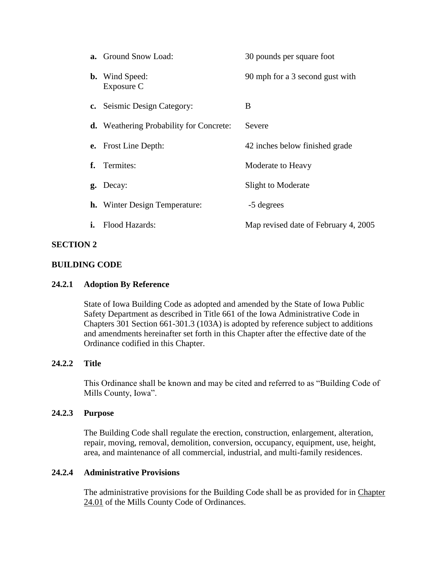|    | <b>a.</b> Ground Snow Load:                    | 30 pounds per square foot            |
|----|------------------------------------------------|--------------------------------------|
|    | <b>b.</b> Wind Speed:<br>Exposure C            | 90 mph for a 3 second gust with      |
|    | c. Seismic Design Category:                    | B                                    |
|    | <b>d.</b> Weathering Probability for Concrete: | Severe                               |
|    | <b>e.</b> Frost Line Depth:                    | 42 inches below finished grade       |
|    | f. Termites:                                   | Moderate to Heavy                    |
|    | g. Decay:                                      | Slight to Moderate                   |
|    | <b>h.</b> Winter Design Temperature:           | -5 degrees                           |
| i. | Flood Hazards:                                 | Map revised date of February 4, 2005 |
|    |                                                |                                      |

## **SECTION 2**

### **BUILDING CODE**

### **24.2.1 Adoption By Reference**

<span id="page-37-0"></span>State of Iowa Building Code as adopted and amended by the State of Iowa Public Safety Department as described in Title 661 of the Iowa Administrative Code in Chapters 301 Section 661-301.3 (103A) is adopted by reference subject to additions and amendments hereinafter set forth in this Chapter after the effective date of the Ordinance codified in this Chapter.

# **24.2.2 Title**

This Ordinance shall be known and may be cited and referred to as "Building Code of Mills County, Iowa".

#### **24.2.3 Purpose**

The Building Code shall regulate the erection, construction, enlargement, alteration, repair, moving, removal, demolition, conversion, occupancy, equipment, use, height, area, and maintenance of all commercial, industrial, and multi-family residences.

### **24.2.4 Administrative Provisions**

The administrative provisions for the Building Code shall be as provided for in Chapter [24.01](#page-0-0) of the Mills County Code of Ordinances.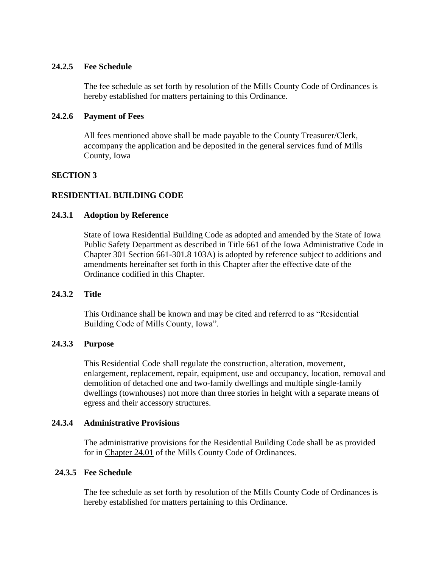### **24.2.5 Fee Schedule**

The fee schedule as set forth by resolution of the Mills County Code of Ordinances is hereby established for matters pertaining to this Ordinance.

### **24.2.6 Payment of Fees**

<span id="page-38-0"></span>All fees mentioned above shall be made payable to the County Treasurer/Clerk, accompany the application and be deposited in the general services fund of Mills County, Iowa

### **SECTION 3**

### **RESIDENTIAL BUILDING CODE**

### **24.3.1 Adoption by Reference**

State of Iowa Residential Building Code as adopted and amended by the State of Iowa Public Safety Department as described in Title 661 of the Iowa Administrative Code in Chapter 301 Section 661-301.8 103A) is adopted by reference subject to additions and amendments hereinafter set forth in this Chapter after the effective date of the Ordinance codified in this Chapter.

### **24.3.2 Title**

This Ordinance shall be known and may be cited and referred to as "Residential Building Code of Mills County, Iowa".

### **24.3.3 Purpose**

This Residential Code shall regulate the construction, alteration, movement, enlargement, replacement, repair, equipment, use and occupancy, location, removal and demolition of detached one and two-family dwellings and multiple single-family dwellings (townhouses) not more than three stories in height with a separate means of egress and their accessory structures.

# **24.3.4 Administrative Provisions**

The administrative provisions for the Residential Building Code shall be as provided for in [Chapter 24.01](#page-0-0) of the Mills County Code of Ordinances.

## **24.3.5 Fee Schedule**

The fee schedule as set forth by resolution of the Mills County Code of Ordinances is hereby established for matters pertaining to this Ordinance.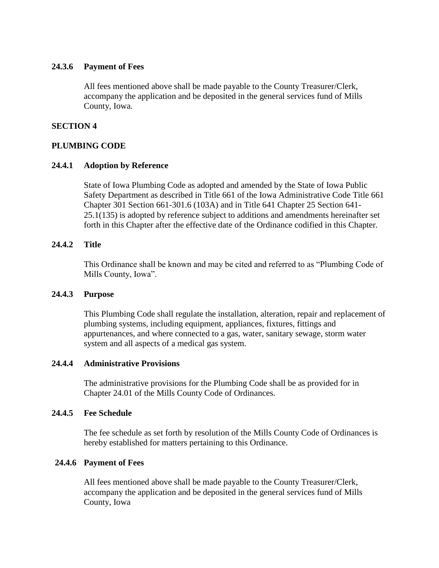### **24.3.6 Payment of Fees**

<span id="page-39-0"></span>All fees mentioned above shall be made payable to the County Treasurer/Clerk, accompany the application and be deposited in the general services fund of Mills County, Iowa.

### **SECTION 4**

## **PLUMBING CODE**

## **24.4.1 Adoption by Reference**

State of Iowa Plumbing Code as adopted and amended by the State of Iowa Public Safety Department as described in Title 661 of the Iowa Administrative Code Title 661 Chapter 301 Section 661-301.6 (103A) and in Title 641 Chapter 25 Section 641- 25.1(135) is adopted by reference subject to additions and amendments hereinafter set forth in this Chapter after the effective date of the Ordinance codified in this Chapter.

## **24.4.2 Title**

This Ordinance shall be known and may be cited and referred to as "Plumbing Code of Mills County, Iowa".

### **24.4.3 Purpose**

This Plumbing Code shall regulate the installation, alteration, repair and replacement of plumbing systems, including equipment, appliances, fixtures, fittings and appurtenances, and where connected to a gas, water, sanitary sewage, storm water system and all aspects of a medical gas system.

### **24.4.4 Administrative Provisions**

The administrative provisions for the Plumbing Code shall be as provided for in [Chapter 24.01](#page-0-0) of the Mills County Code of Ordinances.

### **24.4.5 Fee Schedule**

The fee schedule as set forth by resolution of the Mills County Code of Ordinances is hereby established for matters pertaining to this Ordinance.

### **24.4.6 Payment of Fees**

<span id="page-39-1"></span>All fees mentioned above shall be made payable to the County Treasurer/Clerk, accompany the application and be deposited in the general services fund of Mills County, Iowa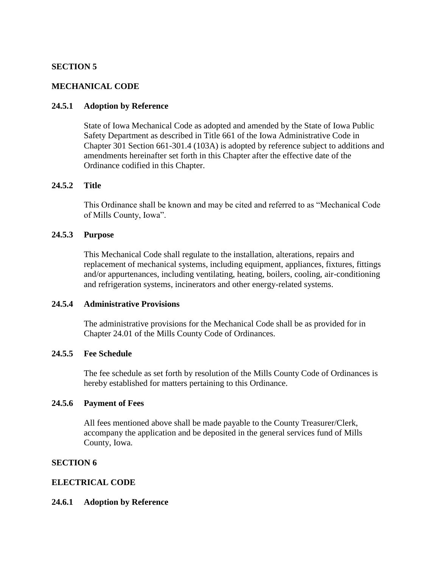## **SECTION 5**

### **MECHANICAL CODE**

### **24.5.1 Adoption by Reference**

State of Iowa Mechanical Code as adopted and amended by the State of Iowa Public Safety Department as described in Title 661 of the Iowa Administrative Code in Chapter 301 Section 661-301.4 (103A) is adopted by reference subject to additions and amendments hereinafter set forth in this Chapter after the effective date of the Ordinance codified in this Chapter.

### **24.5.2 Title**

This Ordinance shall be known and may be cited and referred to as "Mechanical Code of Mills County, Iowa".

### **24.5.3 Purpose**

This Mechanical Code shall regulate to the installation, alterations, repairs and replacement of mechanical systems, including equipment, appliances, fixtures, fittings and/or appurtenances, including ventilating, heating, boilers, cooling, air-conditioning and refrigeration systems, incinerators and other energy-related systems.

### **24.5.4 Administrative Provisions**

The administrative provisions for the Mechanical Code shall be as provided for in [Chapter 24.01](#page-0-0) of the Mills County Code of Ordinances.

### **24.5.5 Fee Schedule**

The fee schedule as set forth by resolution of the Mills County Code of Ordinances is hereby established for matters pertaining to this Ordinance.

### **24.5.6 Payment of Fees**

<span id="page-40-0"></span>All fees mentioned above shall be made payable to the County Treasurer/Clerk, accompany the application and be deposited in the general services fund of Mills County, Iowa.

## **SECTION 6**

### **ELECTRICAL CODE**

### **24.6.1 Adoption by Reference**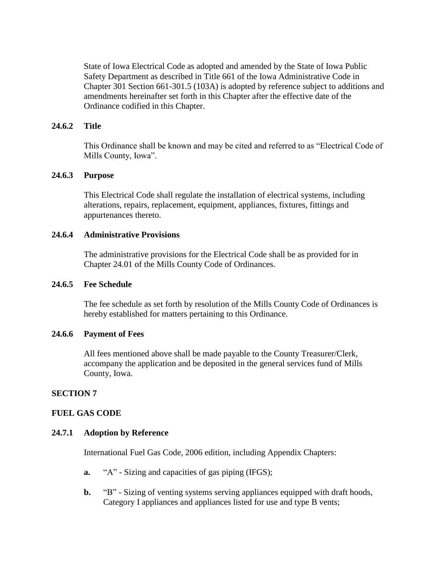State of Iowa Electrical Code as adopted and amended by the State of Iowa Public Safety Department as described in Title 661 of the Iowa Administrative Code in Chapter 301 Section 661-301.5 (103A) is adopted by reference subject to additions and amendments hereinafter set forth in this Chapter after the effective date of the Ordinance codified in this Chapter.

### **24.6.2 Title**

This Ordinance shall be known and may be cited and referred to as "Electrical Code of Mills County, Iowa".

### **24.6.3 Purpose**

This Electrical Code shall regulate the installation of electrical systems, including alterations, repairs, replacement, equipment, appliances, fixtures, fittings and appurtenances thereto.

### **24.6.4 Administrative Provisions**

The administrative provisions for the Electrical Code shall be as provided for in [Chapter 24.01](#page-0-0) of the Mills County Code of Ordinances.

### **24.6.5 Fee Schedule**

The fee schedule as set forth by resolution of the Mills County Code of Ordinances is hereby established for matters pertaining to this Ordinance.

#### **24.6.6 Payment of Fees**

<span id="page-41-0"></span>All fees mentioned above shall be made payable to the County Treasurer/Clerk, accompany the application and be deposited in the general services fund of Mills County, Iowa.

### **SECTION 7**

#### **FUEL GAS CODE**

#### **24.7.1 Adoption by Reference**

International Fuel Gas Code, 2006 edition, including Appendix Chapters:

- **a.** "A" Sizing and capacities of gas piping (IFGS);
- **b.** "B" Sizing of venting systems serving appliances equipped with draft hoods, Category I appliances and appliances listed for use and type B vents;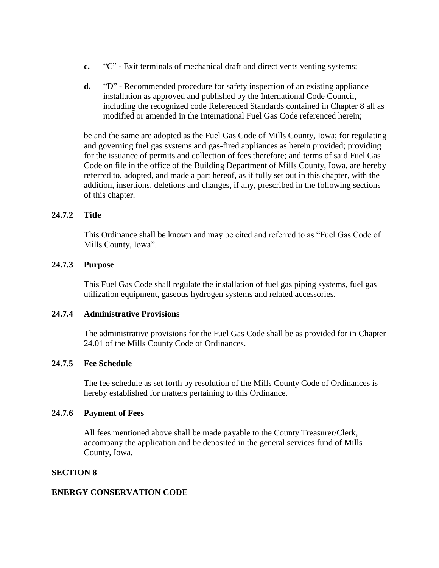- **c.** "C" Exit terminals of mechanical draft and direct vents venting systems;
- **d.** "D" Recommended procedure for safety inspection of an existing appliance installation as approved and published by the International Code Council, including the recognized code Referenced Standards contained in Chapter 8 all as modified or amended in the International Fuel Gas Code referenced herein;

be and the same are adopted as the Fuel Gas Code of Mills County, Iowa; for regulating and governing fuel gas systems and gas-fired appliances as herein provided; providing for the issuance of permits and collection of fees therefore; and terms of said Fuel Gas Code on file in the office of the Building Department of Mills County, Iowa, are hereby referred to, adopted, and made a part hereof, as if fully set out in this chapter, with the addition, insertions, deletions and changes, if any, prescribed in the following sections of this chapter.

## **24.7.2 Title**

This Ordinance shall be known and may be cited and referred to as "Fuel Gas Code of Mills County, Iowa".

### **24.7.3 Purpose**

This Fuel Gas Code shall regulate the installation of fuel gas piping systems, fuel gas utilization equipment, gaseous hydrogen systems and related accessories.

### **24.7.4 Administrative Provisions**

The administrative provisions for the Fuel Gas Code shall be as provided for in [Chapter](#page-0-0)  [24.01](#page-0-0) of the Mills County Code of Ordinances.

### **24.7.5 Fee Schedule**

The fee schedule as set forth by resolution of the Mills County Code of Ordinances is hereby established for matters pertaining to this Ordinance.

### **24.7.6 Payment of Fees**

<span id="page-42-0"></span>All fees mentioned above shall be made payable to the County Treasurer/Clerk, accompany the application and be deposited in the general services fund of Mills County, Iowa.

### **SECTION 8**

### **ENERGY CONSERVATION CODE**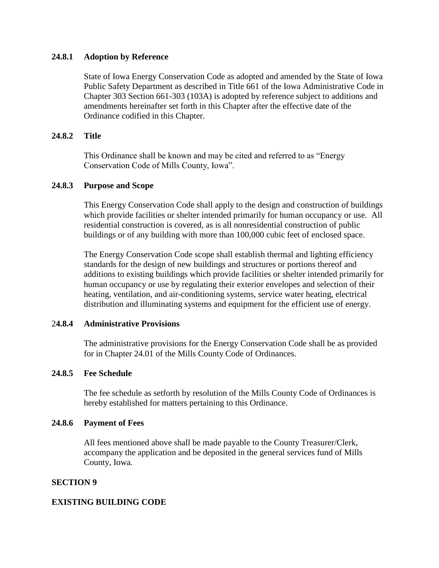## **24.8.1 Adoption by Reference**

State of Iowa Energy Conservation Code as adopted and amended by the State of Iowa Public Safety Department as described in Title 661 of the Iowa Administrative Code in Chapter 303 Section 661-303 (103A) is adopted by reference subject to additions and amendments hereinafter set forth in this Chapter after the effective date of the Ordinance codified in this Chapter.

## **24.8.2 Title**

This Ordinance shall be known and may be cited and referred to as "Energy Conservation Code of Mills County, Iowa".

## **24.8.3 Purpose and Scope**

This Energy Conservation Code shall apply to the design and construction of buildings which provide facilities or shelter intended primarily for human occupancy or use. All residential construction is covered, as is all nonresidential construction of public buildings or of any building with more than 100,000 cubic feet of enclosed space.

The Energy Conservation Code scope shall establish thermal and lighting efficiency standards for the design of new buildings and structures or portions thereof and additions to existing buildings which provide facilities or shelter intended primarily for human occupancy or use by regulating their exterior envelopes and selection of their heating, ventilation, and air-conditioning systems, service water heating, electrical distribution and illuminating systems and equipment for the efficient use of energy.

### 2**4.8.4 Administrative Provisions**

The administrative provisions for the Energy Conservation Code shall be as provided for in [Chapter 24.01](#page-0-0) of the Mills County Code of Ordinances.

### **24.8.5 Fee Schedule**

The fee schedule as setforth by resolution of the Mills County Code of Ordinances is hereby established for matters pertaining to this Ordinance.

# **24.8.6 Payment of Fees**

<span id="page-43-0"></span>All fees mentioned above shall be made payable to the County Treasurer/Clerk, accompany the application and be deposited in the general services fund of Mills County, Iowa.

### **SECTION 9**

### **EXISTING BUILDING CODE**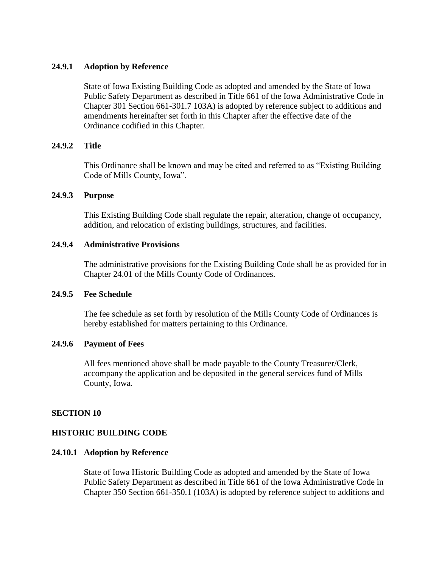### **24.9.1 Adoption by Reference**

State of Iowa Existing Building Code as adopted and amended by the State of Iowa Public Safety Department as described in Title 661 of the Iowa Administrative Code in Chapter 301 Section 661-301.7 103A) is adopted by reference subject to additions and amendments hereinafter set forth in this Chapter after the effective date of the Ordinance codified in this Chapter.

## **24.9.2 Title**

This Ordinance shall be known and may be cited and referred to as "Existing Building Code of Mills County, Iowa".

### **24.9.3 Purpose**

This Existing Building Code shall regulate the repair, alteration, change of occupancy, addition, and relocation of existing buildings, structures, and facilities.

### **24.9.4 Administrative Provisions**

The administrative provisions for the Existing Building Code shall be as provided for in [Chapter 24.01](#page-0-0) of the Mills County Code of Ordinances.

#### **24.9.5 Fee Schedule**

The fee schedule as set forth by resolution of the Mills County Code of Ordinances is hereby established for matters pertaining to this Ordinance.

### **24.9.6 Payment of Fees**

<span id="page-44-0"></span>All fees mentioned above shall be made payable to the County Treasurer/Clerk, accompany the application and be deposited in the general services fund of Mills County, Iowa.

### **SECTION 10**

### **HISTORIC BUILDING CODE**

#### **24.10.1 Adoption by Reference**

State of Iowa Historic Building Code as adopted and amended by the State of Iowa Public Safety Department as described in Title 661 of the Iowa Administrative Code in Chapter 350 Section 661-350.1 (103A) is adopted by reference subject to additions and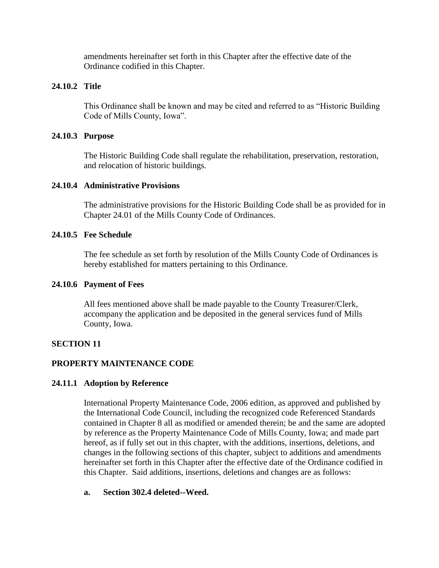amendments hereinafter set forth in this Chapter after the effective date of the Ordinance codified in this Chapter.

# **24.10.2 Title**

This Ordinance shall be known and may be cited and referred to as "Historic Building Code of Mills County, Iowa".

### **24.10.3 Purpose**

The Historic Building Code shall regulate the rehabilitation, preservation, restoration, and relocation of historic buildings.

### **24.10.4 Administrative Provisions**

The administrative provisions for the Historic Building Code shall be as provided for in [Chapter 24.01](#page-0-0) of the Mills County Code of Ordinances.

## **24.10.5 Fee Schedule**

The fee schedule as set forth by resolution of the Mills County Code of Ordinances is hereby established for matters pertaining to this Ordinance.

### **24.10.6 Payment of Fees**

<span id="page-45-0"></span>All fees mentioned above shall be made payable to the County Treasurer/Clerk, accompany the application and be deposited in the general services fund of Mills County, Iowa.

# **SECTION 11**

# **PROPERTY MAINTENANCE CODE**

### **24.11.1 Adoption by Reference**

International Property Maintenance Code, 2006 edition, as approved and published by the International Code Council, including the recognized code Referenced Standards contained in Chapter 8 all as modified or amended therein; be and the same are adopted by reference as the Property Maintenance Code of Mills County, Iowa; and made part hereof, as if fully set out in this chapter, with the additions, insertions, deletions, and changes in the following sections of this chapter, subject to additions and amendments hereinafter set forth in this Chapter after the effective date of the Ordinance codified in this Chapter. Said additions, insertions, deletions and changes are as follows:

### **a. Section 302.4 deleted--Weed.**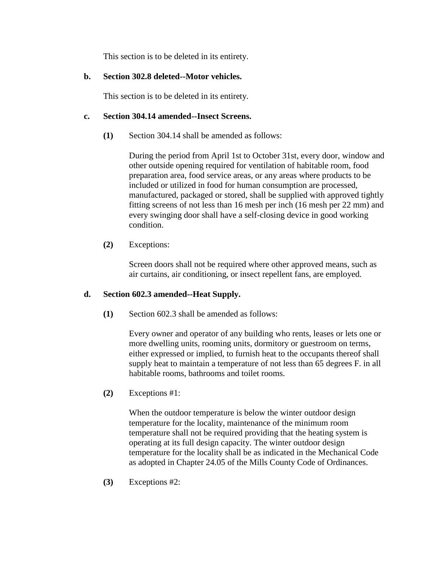This section is to be deleted in its entirety.

# **b. Section 302.8 deleted--Motor vehicles.**

This section is to be deleted in its entirety.

# **c. Section 304.14 amended--Insect Screens.**

**(1)** Section 304.14 shall be amended as follows:

During the period from April 1st to October 31st, every door, window and other outside opening required for ventilation of habitable room, food preparation area, food service areas, or any areas where products to be included or utilized in food for human consumption are processed, manufactured, packaged or stored, shall be supplied with approved tightly fitting screens of not less than 16 mesh per inch (16 mesh per 22 mm) and every swinging door shall have a self-closing device in good working condition.

**(2)** Exceptions:

Screen doors shall not be required where other approved means, such as air curtains, air conditioning, or insect repellent fans, are employed.

# **d. Section 602.3 amended--Heat Supply.**

**(1)** Section 602.3 shall be amended as follows:

Every owner and operator of any building who rents, leases or lets one or more dwelling units, rooming units, dormitory or guestroom on terms, either expressed or implied, to furnish heat to the occupants thereof shall supply heat to maintain a temperature of not less than 65 degrees F. in all habitable rooms, bathrooms and toilet rooms.

**(2)** Exceptions #1:

When the outdoor temperature is below the winter outdoor design temperature for the locality, maintenance of the minimum room temperature shall not be required providing that the heating system is operating at its full design capacity. The winter outdoor design temperature for the locality shall be as indicated in the Mechanical Code as adopted in [Chapter 24.05](#page-39-1) of the Mills County Code of Ordinances.

**(3)** Exceptions #2: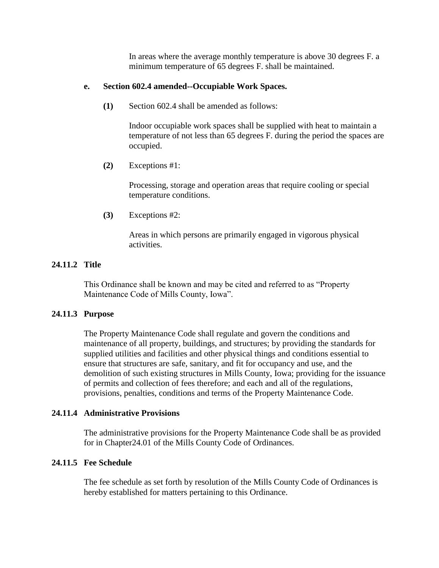In areas where the average monthly temperature is above 30 degrees F. a minimum temperature of 65 degrees F. shall be maintained.

## **e. Section 602.4 amended--Occupiable Work Spaces.**

**(1)** Section 602.4 shall be amended as follows:

Indoor occupiable work spaces shall be supplied with heat to maintain a temperature of not less than 65 degrees F. during the period the spaces are occupied.

**(2)** Exceptions #1:

Processing, storage and operation areas that require cooling or special temperature conditions.

**(3)** Exceptions #2:

Areas in which persons are primarily engaged in vigorous physical activities.

# **24.11.2 Title**

This Ordinance shall be known and may be cited and referred to as "Property Maintenance Code of Mills County, Iowa".

# **24.11.3 Purpose**

The Property Maintenance Code shall regulate and govern the conditions and maintenance of all property, buildings, and structures; by providing the standards for supplied utilities and facilities and other physical things and conditions essential to ensure that structures are safe, sanitary, and fit for occupancy and use, and the demolition of such existing structures in Mills County, Iowa; providing for the issuance of permits and collection of fees therefore; and each and all of the regulations, provisions, penalties, conditions and terms of the Property Maintenance Code.

# **24.11.4 Administrative Provisions**

The administrative provisions for the Property Maintenance Code shall be as provided for in [Chapter24.01](#page-0-0) of the Mills County Code of Ordinances.

# **24.11.5 Fee Schedule**

The fee schedule as set forth by resolution of the Mills County Code of Ordinances is hereby established for matters pertaining to this Ordinance.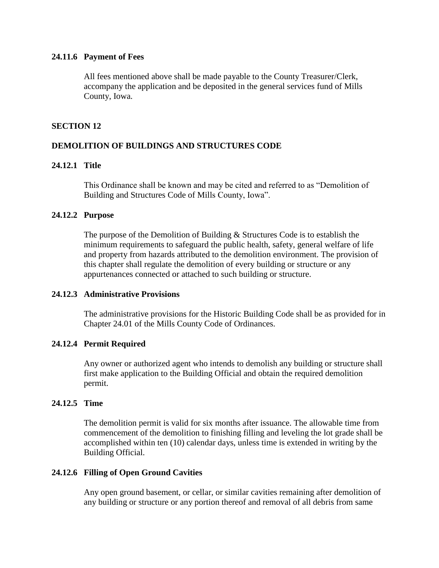### **24.11.6 Payment of Fees**

<span id="page-48-0"></span>All fees mentioned above shall be made payable to the County Treasurer/Clerk, accompany the application and be deposited in the general services fund of Mills County, Iowa.

## **SECTION 12**

# **DEMOLITION OF BUILDINGS AND STRUCTURES CODE**

### **24.12.1 Title**

This Ordinance shall be known and may be cited and referred to as "Demolition of Building and Structures Code of Mills County, Iowa".

### **24.12.2 Purpose**

The purpose of the Demolition of Building & Structures Code is to establish the minimum requirements to safeguard the public health, safety, general welfare of life and property from hazards attributed to the demolition environment. The provision of this chapter shall regulate the demolition of every building or structure or any appurtenances connected or attached to such building or structure.

### **24.12.3 Administrative Provisions**

The administrative provisions for the Historic Building Code shall be as provided for in [Chapter 24.01](#page-0-0) of the Mills County Code of Ordinances.

### **24.12.4 Permit Required**

Any owner or authorized agent who intends to demolish any building or structure shall first make application to the Building Official and obtain the required demolition permit.

### **24.12.5 Time**

The demolition permit is valid for six months after issuance. The allowable time from commencement of the demolition to finishing filling and leveling the lot grade shall be accomplished within ten (10) calendar days, unless time is extended in writing by the Building Official.

### **24.12.6 Filling of Open Ground Cavities**

Any open ground basement, or cellar, or similar cavities remaining after demolition of any building or structure or any portion thereof and removal of all debris from same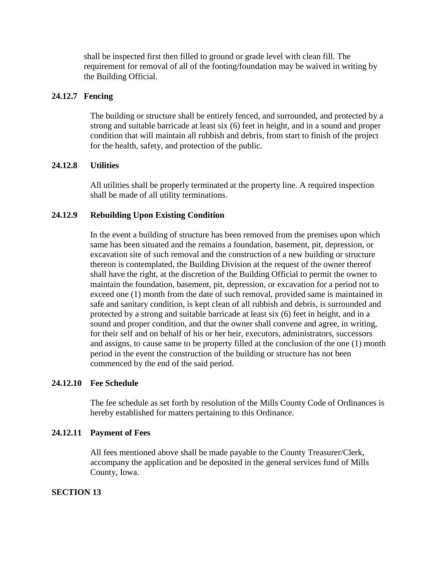shall be inspected first then filled to ground or grade level with clean fill. The requirement for removal of all of the footing/foundation may be waived in writing by the Building Official.

## **24.12.7 Fencing**

The building or structure shall be entirely fenced, and surrounded, and protected by a strong and suitable barricade at least six (6) feet in height, and in a sound and proper condition that will maintain all rubbish and debris, from start to finish of the project for the health, safety, and protection of the public.

## **24.12.8 Utilities**

All utilities shall be properly terminated at the property line. A required inspection shall be made of all utility terminations.

## **24.12.9 Rebuilding Upon Existing Condition**

In the event a building of structure has been removed from the premises upon which same has been situated and the remains a foundation, basement, pit, depression, or excavation site of such removal and the construction of a new building or structure thereon is contemplated, the Building Division at the request of the owner thereof shall have the right, at the discretion of the Building Official to permit the owner to maintain the foundation, basement, pit, depression, or excavation for a period not to exceed one (1) month from the date of such removal, provided same is maintained in safe and sanitary condition, is kept clean of all rubbish and debris, is surrounded and protected by a strong and suitable barricade at least six (6) feet in height, and in a sound and proper condition, and that the owner shall convene and agree, in writing, for their self and on behalf of his or her heir, executors, administrators, successors and assigns, to cause same to be property filled at the conclusion of the one (1) month period in the event the construction of the building or structure has not been commenced by the end of the said period.

### **24.12.10 Fee Schedule**

The fee schedule as set forth by resolution of the Mills County Code of Ordinances is hereby established for matters pertaining to this Ordinance.

### **24.12.11 Payment of Fees**

<span id="page-49-0"></span>All fees mentioned above shall be made payable to the County Treasurer/Clerk, accompany the application and be deposited in the general services fund of Mills County, Iowa.

### **SECTION 13**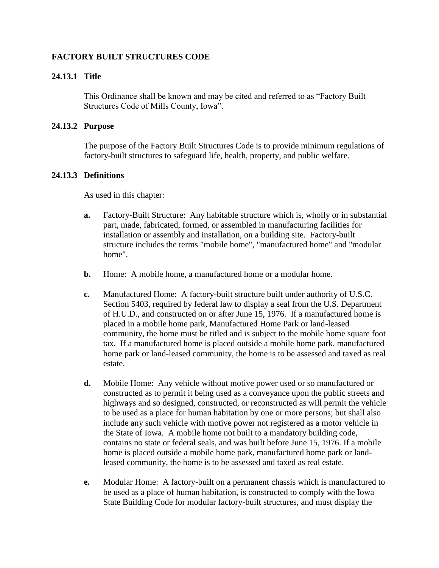# **FACTORY BUILT STRUCTURES CODE**

## **24.13.1 Title**

This Ordinance shall be known and may be cited and referred to as "Factory Built Structures Code of Mills County, Iowa".

### **24.13.2 Purpose**

The purpose of the Factory Built Structures Code is to provide minimum regulations of factory-built structures to safeguard life, health, property, and public welfare.

### **24.13.3 Definitions**

As used in this chapter:

- **a.** Factory-Built Structure: Any habitable structure which is, wholly or in substantial part, made, fabricated, formed, or assembled in manufacturing facilities for installation or assembly and installation, on a building site. Factory-built structure includes the terms "mobile home", "manufactured home" and "modular home".
- **b.** Home: A mobile home, a manufactured home or a modular home.
- **c.** Manufactured Home: A factory-built structure built under authority of U.S.C. Section 5403, required by federal law to display a seal from the U.S. Department of H.U.D., and constructed on or after June 15, 1976. If a manufactured home is placed in a mobile home park, Manufactured Home Park or land-leased community, the home must be titled and is subject to the mobile home square foot tax. If a manufactured home is placed outside a mobile home park, manufactured home park or land-leased community, the home is to be assessed and taxed as real estate.
- **d.** Mobile Home: Any vehicle without motive power used or so manufactured or constructed as to permit it being used as a conveyance upon the public streets and highways and so designed, constructed, or reconstructed as will permit the vehicle to be used as a place for human habitation by one or more persons; but shall also include any such vehicle with motive power not registered as a motor vehicle in the State of Iowa. A mobile home not built to a mandatory building code, contains no state or federal seals, and was built before June 15, 1976. If a mobile home is placed outside a mobile home park, manufactured home park or landleased community, the home is to be assessed and taxed as real estate.
- **e.** Modular Home: A factory-built on a permanent chassis which is manufactured to be used as a place of human habitation, is constructed to comply with the Iowa State Building Code for modular factory-built structures, and must display the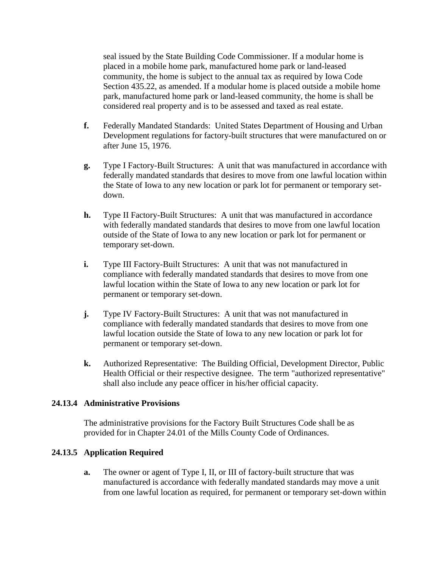seal issued by the State Building Code Commissioner. If a modular home is placed in a mobile home park, manufactured home park or land-leased community, the home is subject to the annual tax as required by Iowa Code Section 435.22, as amended. If a modular home is placed outside a mobile home park, manufactured home park or land-leased community, the home is shall be considered real property and is to be assessed and taxed as real estate.

- **f.** Federally Mandated Standards: United States Department of Housing and Urban Development regulations for factory-built structures that were manufactured on or after June 15, 1976.
- **g.** Type I Factory-Built Structures: A unit that was manufactured in accordance with federally mandated standards that desires to move from one lawful location within the State of Iowa to any new location or park lot for permanent or temporary setdown.
- **h.** Type II Factory-Built Structures: A unit that was manufactured in accordance with federally mandated standards that desires to move from one lawful location outside of the State of Iowa to any new location or park lot for permanent or temporary set-down.
- **i.** Type III Factory-Built Structures: A unit that was not manufactured in compliance with federally mandated standards that desires to move from one lawful location within the State of Iowa to any new location or park lot for permanent or temporary set-down.
- **j.** Type IV Factory-Built Structures: A unit that was not manufactured in compliance with federally mandated standards that desires to move from one lawful location outside the State of Iowa to any new location or park lot for permanent or temporary set-down.
- **k.** Authorized Representative: The Building Official, Development Director, Public Health Official or their respective designee. The term "authorized representative" shall also include any peace officer in his/her official capacity.

### **24.13.4 Administrative Provisions**

The administrative provisions for the Factory Built Structures Code shall be as provided for in [Chapter 24.01](#page-0-0) of the Mills County Code of Ordinances.

# <span id="page-51-0"></span>**24.13.5 Application Required**

**a.** The owner or agent of Type I, II, or III of factory-built structure that was manufactured is accordance with federally mandated standards may move a unit from one lawful location as required, for permanent or temporary set-down within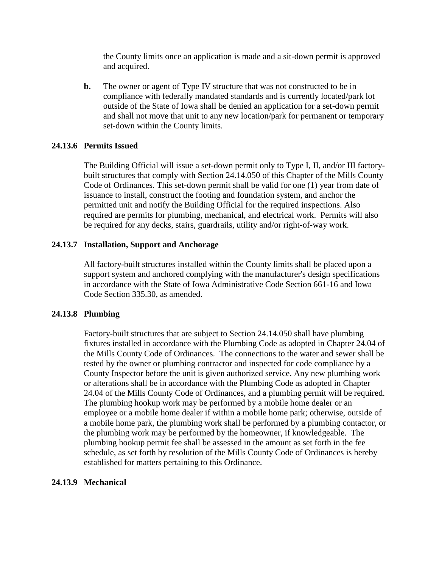the County limits once an application is made and a sit-down permit is approved and acquired.

**b.** The owner or agent of Type IV structure that was not constructed to be in compliance with federally mandated standards and is currently located/park lot outside of the State of Iowa shall be denied an application for a set-down permit and shall not move that unit to any new location/park for permanent or temporary set-down within the County limits.

### **24.13.6 Permits Issued**

The Building Official will issue a set-down permit only to Type I, II, and/or III factorybuilt structures that comply with [Section 24.14.050](#page-51-0) of this Chapter of the Mills County Code of Ordinances. This set-down permit shall be valid for one (1) year from date of issuance to install, construct the footing and foundation system, and anchor the permitted unit and notify the Building Official for the required inspections. Also required are permits for plumbing, mechanical, and electrical work. Permits will also be required for any decks, stairs, guardrails, utility and/or right-of-way work.

## **24.13.7 Installation, Support and Anchorage**

All factory-built structures installed within the County limits shall be placed upon a support system and anchored complying with the manufacturer's design specifications in accordance with the State of Iowa Administrative Code Section 661-16 and Iowa Code Section 335.30, as amended.

### **24.13.8 Plumbing**

Factory-built structures that are subject to Section [24.14.050](#page-51-0) shall have plumbing fixtures installed in accordance with the Plumbing Code as adopted in [Chapter 24.04](#page-39-0) of the Mills County Code of Ordinances. The connections to the water and sewer shall be tested by the owner or plumbing contractor and inspected for code compliance by a County Inspector before the unit is given authorized service. Any new plumbing work or alterations shall be in accordance with the Plumbing Code as adopted in [Chapter](#page-39-0)  [24.04](#page-39-0) of the Mills County Code of Ordinances, and a plumbing permit will be required. The plumbing hookup work may be performed by a mobile home dealer or an employee or a mobile home dealer if within a mobile home park; otherwise, outside of a mobile home park, the plumbing work shall be performed by a plumbing contactor, or the plumbing work may be performed by the homeowner, if knowledgeable. The plumbing hookup permit fee shall be assessed in the amount as set forth in the fee schedule, as set forth by resolution of the Mills County Code of Ordinances is hereby established for matters pertaining to this Ordinance.

### **24.13.9 Mechanical**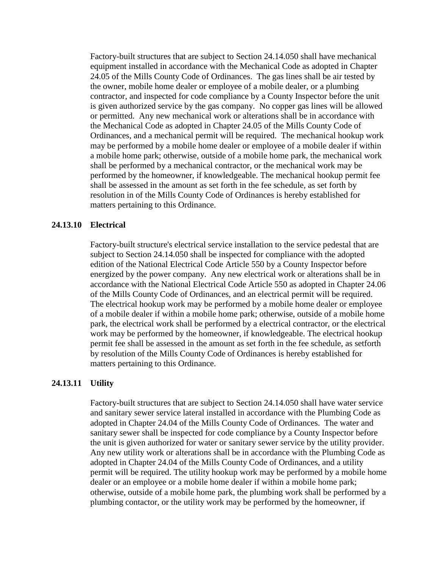Factory-built structures that are subject to [Section 24.14.050](#page-51-0) shall have mechanical equipment installed in accordance with the Mechanical Code as adopted in [Chapter](#page-39-1)  [24.05](#page-39-1) of the Mills County Code of Ordinances. The gas lines shall be air tested by the owner, mobile home dealer or employee of a mobile dealer, or a plumbing contractor, and inspected for code compliance by a County Inspector before the unit is given authorized service by the gas company. No copper gas lines will be allowed or permitted. Any new mechanical work or alterations shall be in accordance with the Mechanical Code as adopted in [Chapter 24.05](#page-39-1) of the Mills County Code of Ordinances, and a mechanical permit will be required. The mechanical hookup work may be performed by a mobile home dealer or employee of a mobile dealer if within a mobile home park; otherwise, outside of a mobile home park, the mechanical work shall be performed by a mechanical contractor, or the mechanical work may be performed by the homeowner, if knowledgeable. The mechanical hookup permit fee shall be assessed in the amount as set forth in the fee schedule, as set forth by resolution in of the Mills County Code of Ordinances is hereby established for matters pertaining to this Ordinance.

### **24.13.10 Electrical**

Factory-built structure's electrical service installation to the service pedestal that are subject to [Section 24.14.050](#page-51-0) shall be inspected for compliance with the adopted edition of the National Electrical Code Article 550 by a County Inspector before energized by the power company. Any new electrical work or alterations shall be in accordance with the National Electrical Code Article 550 as adopted in Chapter 24.06 of the Mills County Code of Ordinances, and an electrical permit will be required. The electrical hookup work may be performed by a mobile home dealer or employee of a mobile dealer if within a mobile home park; otherwise, outside of a mobile home park, the electrical work shall be performed by a electrical contractor, or the electrical work may be performed by the homeowner, if knowledgeable. The electrical hookup permit fee shall be assessed in the amount as set forth in the fee schedule, as setforth by resolution of the Mills County Code of Ordinances is hereby established for matters pertaining to this Ordinance.

#### **24.13.11 Utility**

Factory-built structures that are subject to [Section 24.14.050](#page-51-0) shall have water service and sanitary sewer service lateral installed in accordance with the Plumbing Code as adopted in Chapter 24.04 of the Mills County Code of Ordinances. The water and sanitary sewer shall be inspected for code compliance by a County Inspector before the unit is given authorized for water or sanitary sewer service by the utility provider. Any new utility work or alterations shall be in accordance with the Plumbing Code as adopted in Chapter 24.04 of the Mills County Code of Ordinances, and a utility permit will be required. The utility hookup work may be performed by a mobile home dealer or an employee or a mobile home dealer if within a mobile home park; otherwise, outside of a mobile home park, the plumbing work shall be performed by a plumbing contactor, or the utility work may be performed by the homeowner, if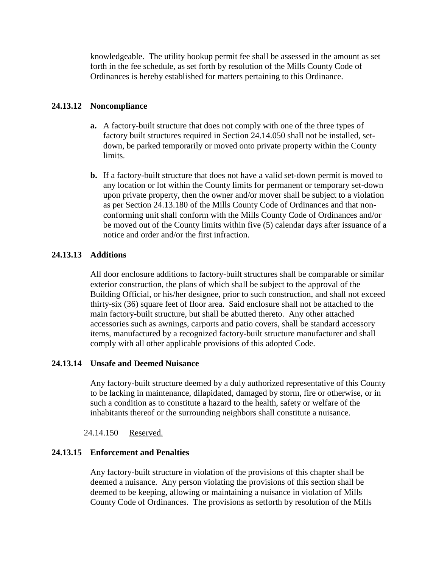knowledgeable. The utility hookup permit fee shall be assessed in the amount as set forth in the fee schedule, as set forth by resolution of the Mills County Code of Ordinances is hereby established for matters pertaining to this Ordinance.

# **24.13.12 Noncompliance**

- **a.** A factory-built structure that does not comply with one of the three types of factory built structures required in [Section 24.14.050](#page-51-0) shall not be installed, setdown, be parked temporarily or moved onto private property within the County limits.
- **b.** If a factory-built structure that does not have a valid set-down permit is moved to any location or lot within the County limits for permanent or temporary set-down upon private property, then the owner and/or mover shall be subject to a violation as per Section 24.13.180 of the Mills County Code of Ordinances and that nonconforming unit shall conform with the Mills County Code of Ordinances and/or be moved out of the County limits within five (5) calendar days after issuance of a notice and order and/or the first infraction.

# **24.13.13 Additions**

All door enclosure additions to factory-built structures shall be comparable or similar exterior construction, the plans of which shall be subject to the approval of the Building Official, or his/her designee, prior to such construction, and shall not exceed thirty-six (36) square feet of floor area. Said enclosure shall not be attached to the main factory-built structure, but shall be abutted thereto. Any other attached accessories such as awnings, carports and patio covers, shall be standard accessory items, manufactured by a recognized factory-built structure manufacturer and shall comply with all other applicable provisions of this adopted Code.

# **24.13.14 Unsafe and Deemed Nuisance**

Any factory-built structure deemed by a duly authorized representative of this County to be lacking in maintenance, dilapidated, damaged by storm, fire or otherwise, or in such a condition as to constitute a hazard to the health, safety or welfare of the inhabitants thereof or the surrounding neighbors shall constitute a nuisance.

# 24.14.150 Reserved.

# **24.13.15 Enforcement and Penalties**

Any factory-built structure in violation of the provisions of this chapter shall be deemed a nuisance. Any person violating the provisions of this section shall be deemed to be keeping, allowing or maintaining a nuisance in violation of Mills County Code of Ordinances. The provisions as setforth by resolution of the Mills